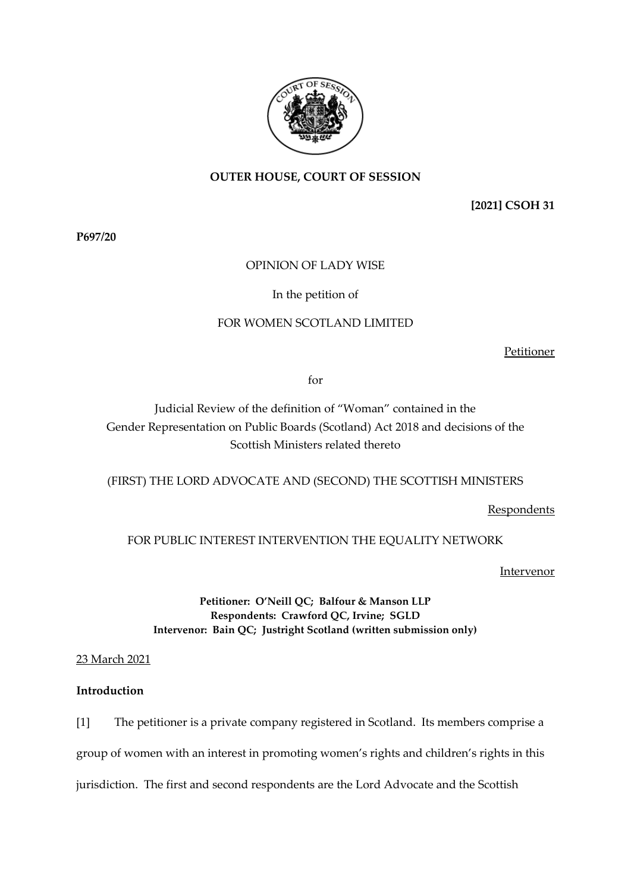

# **OUTER HOUSE, COURT OF SESSION**

**[2021] CSOH 31**

**P697/20**

## OPINION OF LADY WISE

## In the petition of

# FOR WOMEN SCOTLAND LIMITED

Petitioner

for

Judicial Review of the definition of "Woman" contained in the Gender Representation on Public Boards (Scotland) Act 2018 and decisions of the Scottish Ministers related thereto

(FIRST) THE LORD ADVOCATE AND (SECOND) THE SCOTTISH MINISTERS

**Respondents** 

## FOR PUBLIC INTEREST INTERVENTION THE EOUALITY NETWORK

**Intervenor** 

**Petitioner: O'Neill QC; Balfour & Manson LLP Respondents: Crawford QC, Irvine; SGLD Intervenor: Bain QC; Justright Scotland (written submission only)**

## 23 March 2021

## **Introduction**

[1] The petitioner is a private company registered in Scotland. Its members comprise a group of women with an interest in promoting women's rights and children's rights in this jurisdiction. The first and second respondents are the Lord Advocate and the Scottish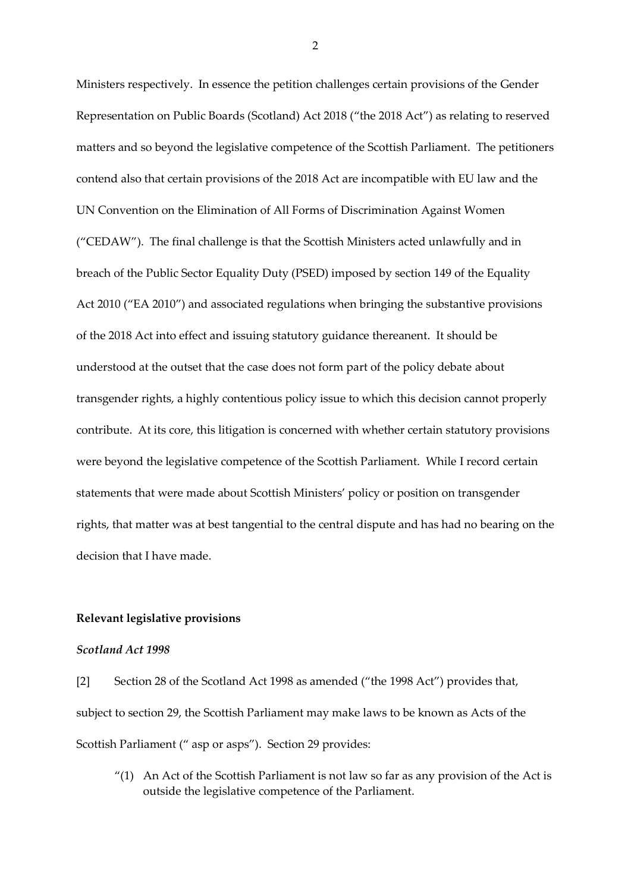Ministers respectively. In essence the petition challenges certain provisions of the Gender Representation on Public Boards (Scotland) Act 2018 ("the 2018 Act") as relating to reserved matters and so beyond the legislative competence of the Scottish Parliament. The petitioners contend also that certain provisions of the 2018 Act are incompatible with EU law and the UN Convention on the Elimination of All Forms of Discrimination Against Women ("CEDAW"). The final challenge is that the Scottish Ministers acted unlawfully and in breach of the Public Sector Equality Duty (PSED) imposed by section 149 of the Equality Act 2010 ("EA 2010") and associated regulations when bringing the substantive provisions of the 2018 Act into effect and issuing statutory guidance thereanent. It should be understood at the outset that the case does not form part of the policy debate about transgender rights, a highly contentious policy issue to which this decision cannot properly contribute. At its core, this litigation is concerned with whether certain statutory provisions were beyond the legislative competence of the Scottish Parliament. While I record certain statements that were made about Scottish Ministers' policy or position on transgender rights, that matter was at best tangential to the central dispute and has had no bearing on the decision that I have made.

#### **Relevant legislative provisions**

#### *Scotland Act 1998*

[2] Section 28 of the Scotland Act 1998 as amended ("the 1998 Act") provides that, subject to section 29, the Scottish Parliament may make laws to be known as Acts of the Scottish Parliament (" asp or asps"). Section 29 provides:

" $(1)$  An Act of the Scottish Parliament is not law so far as any provision of the Act is outside the legislative competence of the Parliament.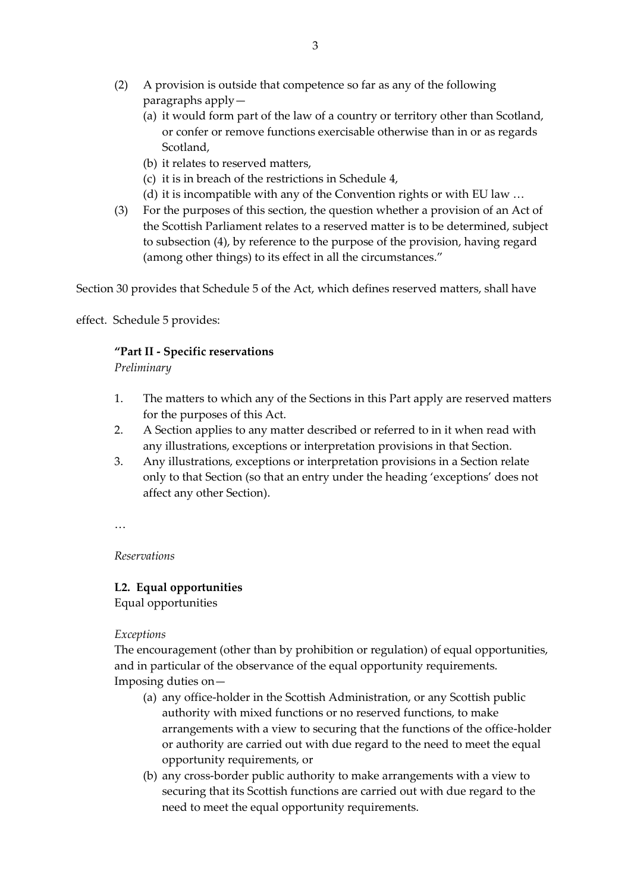- (2) A provision is outside that competence so far as any of the following paragraphs apply—
	- (a) it would form part of the law of a country or territory other than Scotland, or confer or remove functions exercisable otherwise than in or as regards Scotland,
	- (b) it relates to reserved matters,
	- (c) it is in breach of the restrictions in Schedule 4,
	- (d) it is incompatible with any of the Convention rights or with EU law …
- (3) For the purposes of this section, the question whether a provision of an Act of the Scottish Parliament relates to a reserved matter is to be determined, subject to subsection (4), by reference to the purpose of the provision, having regard (among other things) to its effect in all the circumstances."

Section 30 provides that Schedule 5 of the Act, which defines reserved matters, shall have

effect. Schedule 5 provides:

## **"Part II - Specific reservations**

*Preliminary*

- 1. The matters to which any of the Sections in this Part apply are reserved matters for the purposes of this Act.
- 2. A Section applies to any matter described or referred to in it when read with any illustrations, exceptions or interpretation provisions in that Section.
- 3. Any illustrations, exceptions or interpretation provisions in a Section relate only to that Section (so that an entry under the heading 'exceptions' does not affect any other Section).

…

*Reservations*

## **L2. Equal opportunities**

Equal opportunities

## *Exceptions*

The encouragement (other than by prohibition or regulation) of equal opportunities, and in particular of the observance of the equal opportunity requirements. Imposing duties on—

- (a) any office-holder in the Scottish Administration, or any Scottish public authority with mixed functions or no reserved functions, to make arrangements with a view to securing that the functions of the office-holder or authority are carried out with due regard to the need to meet the equal opportunity requirements, or
- (b) any cross-border public authority to make arrangements with a view to securing that its Scottish functions are carried out with due regard to the need to meet the equal opportunity requirements.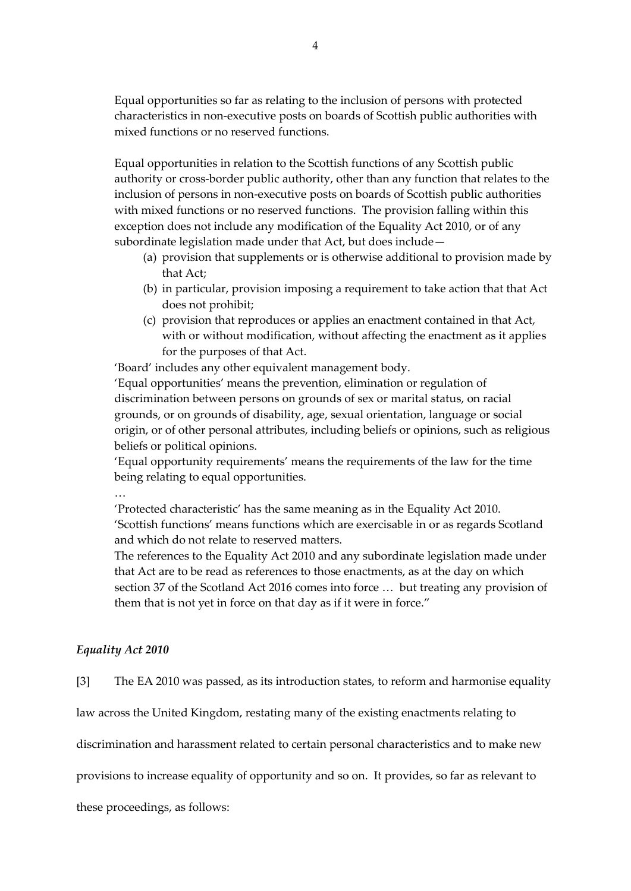Equal opportunities so far as relating to the inclusion of persons with protected characteristics in non-executive posts on boards of Scottish public authorities with mixed functions or no reserved functions.

Equal opportunities in relation to the Scottish functions of any Scottish public authority or cross-border public authority, other than any function that relates to the inclusion of persons in non-executive posts on boards of Scottish public authorities with mixed functions or no reserved functions. The provision falling within this exception does not include any modification of the Equality Act 2010, or of any subordinate legislation made under that Act, but does include—

- (a) provision that supplements or is otherwise additional to provision made by that Act;
- (b) in particular, provision imposing a requirement to take action that that Act does not prohibit;
- (c) provision that reproduces or applies an enactment contained in that Act, with or without modification, without affecting the enactment as it applies for the purposes of that Act.

'Board' includes any other equivalent management body.

'Equal opportunities' means the prevention, elimination or regulation of discrimination between persons on grounds of sex or marital status, on racial grounds, or on grounds of disability, age, sexual orientation, language or social origin, or of other personal attributes, including beliefs or opinions, such as religious beliefs or political opinions.

'Equal opportunity requirements' means the requirements of the law for the time being relating to equal opportunities.

…

'Protected characteristic' has the same meaning as in the Equality Act 2010. 'Scottish functions' means functions which are exercisable in or as regards Scotland and which do not relate to reserved matters.

The references to the Equality Act 2010 and any subordinate legislation made under that Act are to be read as references to those enactments, as at the day on which section 37 of the Scotland Act 2016 comes into force … but treating any provision of them that is not yet in force on that day as if it were in force."

## *Equality Act 2010*

[3] The EA 2010 was passed, as its introduction states, to reform and harmonise equality

law across the United Kingdom, restating many of the existing enactments relating to

discrimination and harassment related to certain personal characteristics and to make new

provisions to increase equality of opportunity and so on. It provides, so far as relevant to

these proceedings, as follows: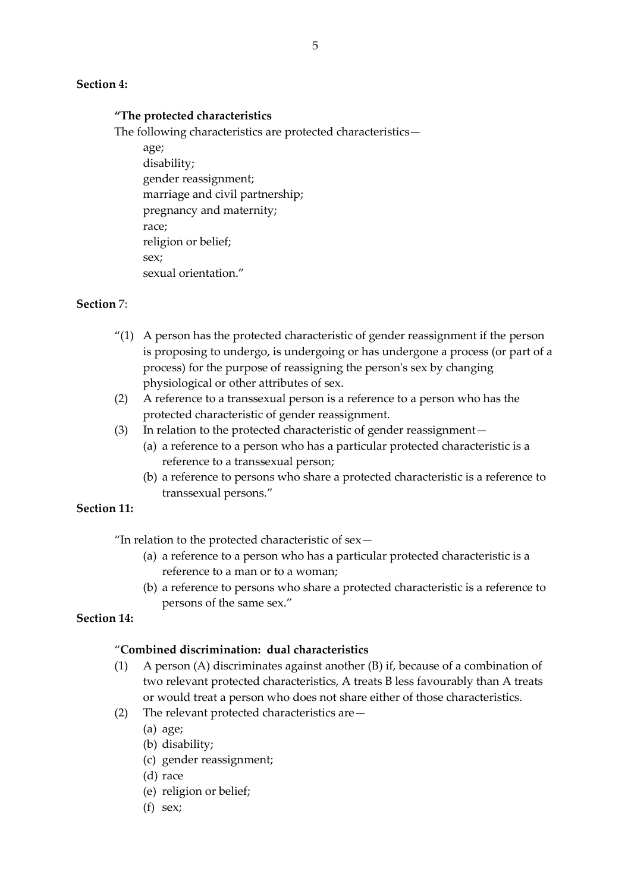## **Section 4:**

#### **"The protected characteristics**

The following characteristics are protected characteristics—

age; disability; gender reassignment; marriage and civil partnership; pregnancy and maternity; race; religion or belief; sex; sexual orientation."

## **Section** 7:

- $''(1)$  A person has the protected characteristic of gender reassignment if the person is proposing to undergo, is undergoing or has undergone a process (or part of a process) for the purpose of reassigning the person's sex by changing physiological or other attributes of sex.
- (2) A reference to a transsexual person is a reference to a person who has the protected characteristic of gender reassignment.
- (3) In relation to the protected characteristic of gender reassignment—
	- (a) a reference to a person who has a particular protected characteristic is a reference to a transsexual person;
	- (b) a reference to persons who share a protected characteristic is a reference to transsexual persons."

## **Section 11:**

"In relation to the protected characteristic of sex—

- (a) a reference to a person who has a particular protected characteristic is a reference to a man or to a woman;
- (b) a reference to persons who share a protected characteristic is a reference to persons of the same sex."

# **Section 14:**

## "**Combined discrimination: dual characteristics**

- (1) A person (A) discriminates against another (B) if, because of a combination of two relevant protected characteristics, A treats B less favourably than A treats or would treat a person who does not share either of those characteristics.
- (2) The relevant protected characteristics are—
	- (a) age;
	- (b) disability;
	- (c) gender reassignment;
	- (d) race
	- (e) religion or belief;
	- (f) sex;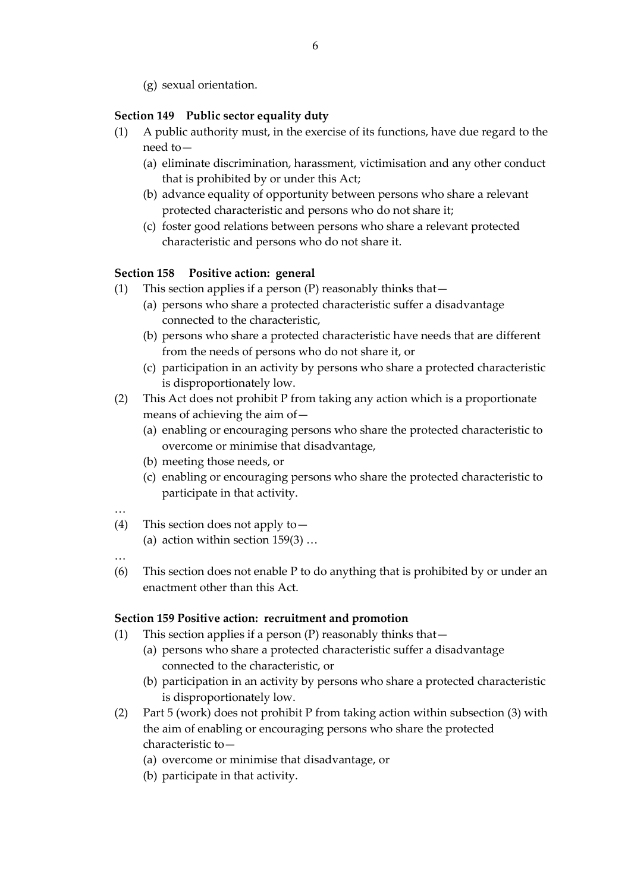(g) sexual orientation.

## **Section 149 Public sector equality duty**

- (1) A public authority must, in the exercise of its functions, have due regard to the need to—
	- (a) eliminate discrimination, harassment, victimisation and any other conduct that is prohibited by or under this Act;
	- (b) advance equality of opportunity between persons who share a relevant protected characteristic and persons who do not share it;
	- (c) foster good relations between persons who share a relevant protected characteristic and persons who do not share it.

## **Section 158 Positive action: general**

- (1) This section applies if a person  $(P)$  reasonably thinks that
	- (a) persons who share a protected characteristic suffer a disadvantage connected to the characteristic,
	- (b) persons who share a protected characteristic have needs that are different from the needs of persons who do not share it, or
	- (c) participation in an activity by persons who share a protected characteristic is disproportionately low.
- (2) This Act does not prohibit P from taking any action which is a proportionate means of achieving the aim of—
	- (a) enabling or encouraging persons who share the protected characteristic to overcome or minimise that disadvantage,
	- (b) meeting those needs, or
	- (c) enabling or encouraging persons who share the protected characteristic to participate in that activity.
- …
- (4) This section does not apply to—
	- (a) action within section  $159(3)$  ...
- …
- (6) This section does not enable P to do anything that is prohibited by or under an enactment other than this Act.

## **Section 159 Positive action: recruitment and promotion**

- (1) This section applies if a person  $(P)$  reasonably thinks that  $-$ 
	- (a) persons who share a protected characteristic suffer a disadvantage connected to the characteristic, or
	- (b) participation in an activity by persons who share a protected characteristic is disproportionately low.
- (2) Part 5 (work) does not prohibit P from taking action within subsection (3) with the aim of enabling or encouraging persons who share the protected characteristic to—
	- (a) overcome or minimise that disadvantage, or
	- (b) participate in that activity.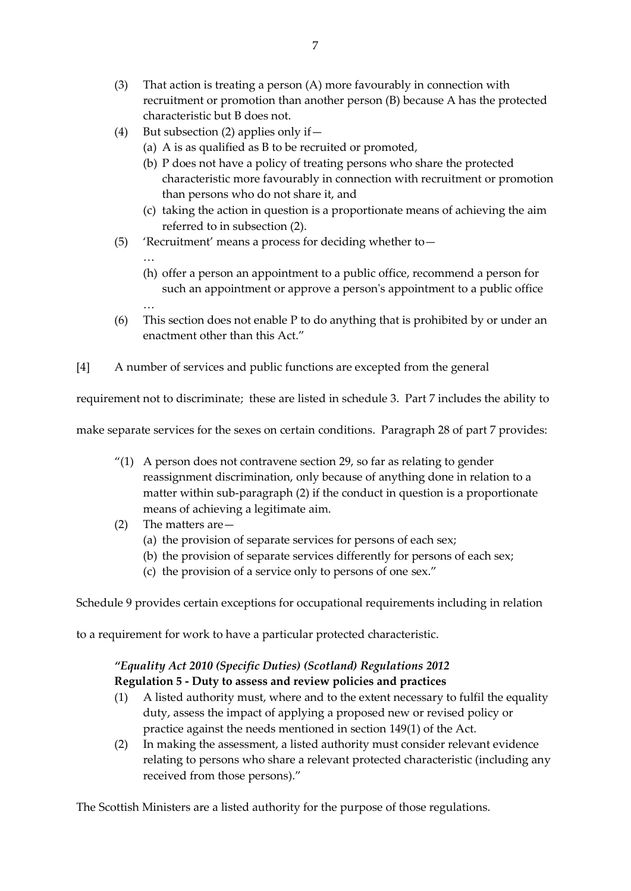- (3) That action is treating a person (A) more favourably in connection with recruitment or promotion than another person (B) because A has the protected characteristic but B does not.
- (4) But subsection (2) applies only if—
	- (a) A is as qualified as B to be recruited or promoted,
	- (b) P does not have a policy of treating persons who share the protected characteristic more favourably in connection with recruitment or promotion than persons who do not share it, and
	- (c) taking the action in question is a proportionate means of achieving the aim referred to in subsection (2).
- (5) 'Recruitment' means a process for deciding whether to—
	- …

…

- (h) offer a person an appointment to a public office, recommend a person for such an appointment or approve a person's appointment to a public office
- (6) This section does not enable P to do anything that is prohibited by or under an enactment other than this Act."
- [4] A number of services and public functions are excepted from the general

requirement not to discriminate; these are listed in schedule 3. Part 7 includes the ability to

make separate services for the sexes on certain conditions. Paragraph 28 of part 7 provides:

- "(1) A person does not contravene section 29, so far as relating to gender reassignment discrimination, only because of anything done in relation to a matter within sub-paragraph (2) if the conduct in question is a proportionate means of achieving a legitimate aim.
- (2) The matters are—
	- (a) the provision of separate services for persons of each sex;
	- (b) the provision of separate services differently for persons of each sex;
	- (c) the provision of a service only to persons of one sex."

Schedule 9 provides certain exceptions for occupational requirements including in relation

to a requirement for work to have a particular protected characteristic.

# *"Equality Act 2010 (Specific Duties) (Scotland) Regulations 2012* **Regulation 5 - Duty to assess and review policies and practices**

- (1) A listed authority must, where and to the extent necessary to fulfil the equality duty, assess the impact of applying a proposed new or revised policy or practice against the needs mentioned in section 149(1) of the Act.
- (2) In making the assessment, a listed authority must consider relevant evidence relating to persons who share a relevant protected characteristic (including any received from those persons)."

The Scottish Ministers are a listed authority for the purpose of those regulations.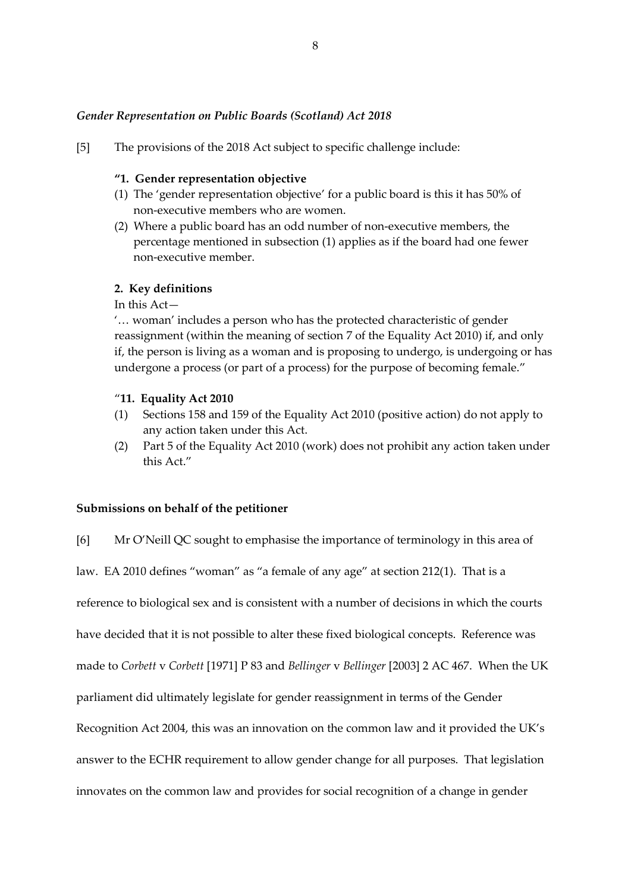## *Gender Representation on Public Boards (Scotland) Act 2018*

[5] The provisions of the 2018 Act subject to specific challenge include:

#### **"1. Gender representation objective**

- (1) The 'gender representation objective' for a public board is this it has 50% of non-executive members who are women.
- (2) Where a public board has an odd number of non-executive members, the percentage mentioned in subsection (1) applies as if the board had one fewer non-executive member.

### **2. Key definitions**

## In this Act—

'… woman' includes a person who has the protected characteristic of gender reassignment (within the meaning of section 7 of the Equality Act 2010) if, and only if, the person is living as a woman and is proposing to undergo, is undergoing or has undergone a process (or part of a process) for the purpose of becoming female."

## "**11. Equality Act 2010**

- (1) Sections 158 and 159 of the Equality Act 2010 (positive action) do not apply to any action taken under this Act.
- (2) Part 5 of the Equality Act 2010 (work) does not prohibit any action taken under this Act."

#### **Submissions on behalf of the petitioner**

[6] Mr O'Neill QC sought to emphasise the importance of terminology in this area of

law. EA 2010 defines "woman" as "a female of any age" at section 212(1). That is a

reference to biological sex and is consistent with a number of decisions in which the courts

have decided that it is not possible to alter these fixed biological concepts. Reference was

made to *Corbett* v *Corbett* [1971] P 83 and *Bellinger* v *Bellinger* [2003] 2 AC 467. When the UK

parliament did ultimately legislate for gender reassignment in terms of the Gender

Recognition Act 2004, this was an innovation on the common law and it provided the UK's

answer to the ECHR requirement to allow gender change for all purposes. That legislation

innovates on the common law and provides for social recognition of a change in gender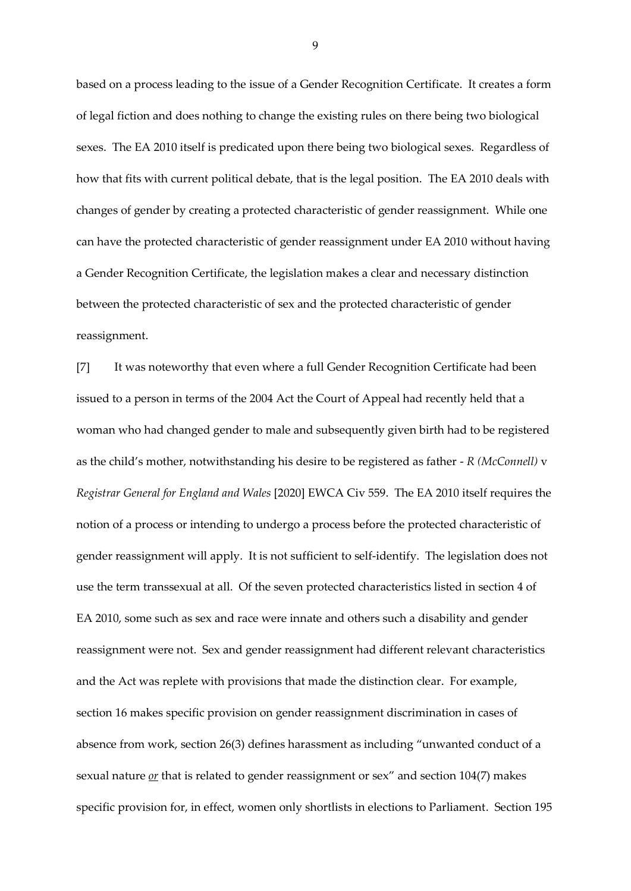based on a process leading to the issue of a Gender Recognition Certificate. It creates a form of legal fiction and does nothing to change the existing rules on there being two biological sexes. The EA 2010 itself is predicated upon there being two biological sexes. Regardless of how that fits with current political debate, that is the legal position. The EA 2010 deals with changes of gender by creating a protected characteristic of gender reassignment. While one can have the protected characteristic of gender reassignment under EA 2010 without having a Gender Recognition Certificate, the legislation makes a clear and necessary distinction between the protected characteristic of sex and the protected characteristic of gender reassignment.

[7] It was noteworthy that even where a full Gender Recognition Certificate had been issued to a person in terms of the 2004 Act the Court of Appeal had recently held that a woman who had changed gender to male and subsequently given birth had to be registered as the child's mother, notwithstanding his desire to be registered as father - *R (McConnell)* v *Registrar General for England and Wales* [2020] EWCA Civ 559. The EA 2010 itself requires the notion of a process or intending to undergo a process before the protected characteristic of gender reassignment will apply. It is not sufficient to self-identify. The legislation does not use the term transsexual at all. Of the seven protected characteristics listed in section 4 of EA 2010, some such as sex and race were innate and others such a disability and gender reassignment were not. Sex and gender reassignment had different relevant characteristics and the Act was replete with provisions that made the distinction clear. For example, section 16 makes specific provision on gender reassignment discrimination in cases of absence from work, section 26(3) defines harassment as including "unwanted conduct of a sexual nature *or* that is related to gender reassignment or sex" and section 104(7) makes specific provision for, in effect, women only shortlists in elections to Parliament. Section 195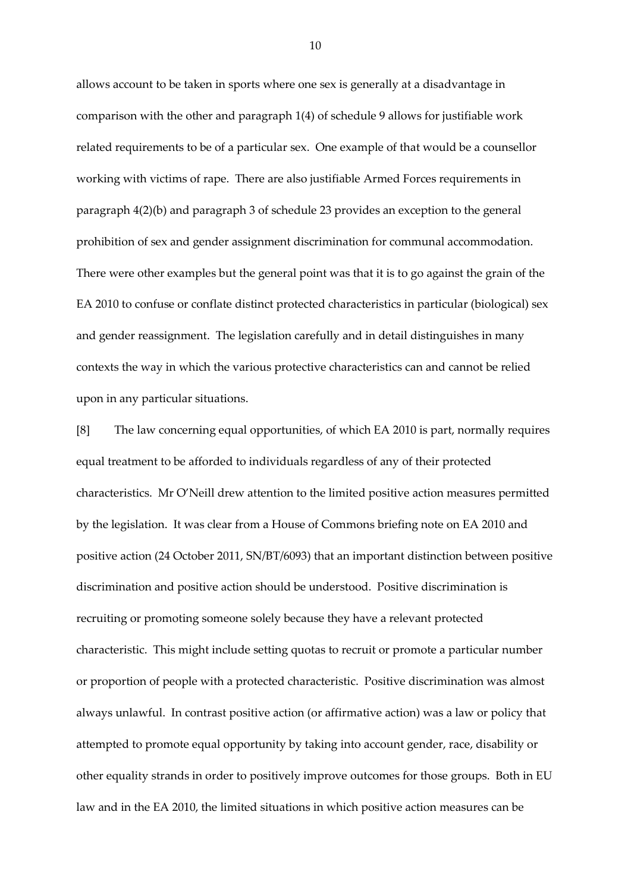allows account to be taken in sports where one sex is generally at a disadvantage in comparison with the other and paragraph 1(4) of schedule 9 allows for justifiable work related requirements to be of a particular sex. One example of that would be a counsellor working with victims of rape. There are also justifiable Armed Forces requirements in paragraph 4(2)(b) and paragraph 3 of schedule 23 provides an exception to the general prohibition of sex and gender assignment discrimination for communal accommodation. There were other examples but the general point was that it is to go against the grain of the EA 2010 to confuse or conflate distinct protected characteristics in particular (biological) sex and gender reassignment. The legislation carefully and in detail distinguishes in many contexts the way in which the various protective characteristics can and cannot be relied upon in any particular situations.

[8] The law concerning equal opportunities, of which EA 2010 is part, normally requires equal treatment to be afforded to individuals regardless of any of their protected characteristics. Mr O'Neill drew attention to the limited positive action measures permitted by the legislation. It was clear from a House of Commons briefing note on EA 2010 and positive action (24 October 2011, SN/BT/6093) that an important distinction between positive discrimination and positive action should be understood. Positive discrimination is recruiting or promoting someone solely because they have a relevant protected characteristic. This might include setting quotas to recruit or promote a particular number or proportion of people with a protected characteristic. Positive discrimination was almost always unlawful. In contrast positive action (or affirmative action) was a law or policy that attempted to promote equal opportunity by taking into account gender, race, disability or other equality strands in order to positively improve outcomes for those groups. Both in EU law and in the EA 2010, the limited situations in which positive action measures can be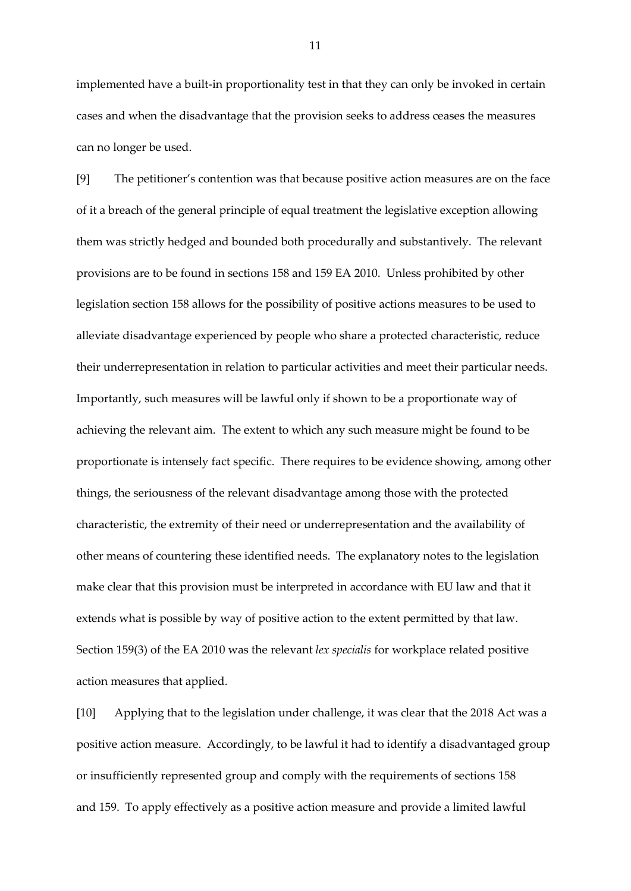implemented have a built-in proportionality test in that they can only be invoked in certain cases and when the disadvantage that the provision seeks to address ceases the measures can no longer be used.

[9] The petitioner's contention was that because positive action measures are on the face of it a breach of the general principle of equal treatment the legislative exception allowing them was strictly hedged and bounded both procedurally and substantively. The relevant provisions are to be found in sections 158 and 159 EA 2010. Unless prohibited by other legislation section 158 allows for the possibility of positive actions measures to be used to alleviate disadvantage experienced by people who share a protected characteristic, reduce their underrepresentation in relation to particular activities and meet their particular needs. Importantly, such measures will be lawful only if shown to be a proportionate way of achieving the relevant aim. The extent to which any such measure might be found to be proportionate is intensely fact specific. There requires to be evidence showing, among other things, the seriousness of the relevant disadvantage among those with the protected characteristic, the extremity of their need or underrepresentation and the availability of other means of countering these identified needs. The explanatory notes to the legislation make clear that this provision must be interpreted in accordance with EU law and that it extends what is possible by way of positive action to the extent permitted by that law. Section 159(3) of the EA 2010 was the relevant *lex specialis* for workplace related positive action measures that applied.

[10] Applying that to the legislation under challenge, it was clear that the 2018 Act was a positive action measure. Accordingly, to be lawful it had to identify a disadvantaged group or insufficiently represented group and comply with the requirements of sections 158 and 159. To apply effectively as a positive action measure and provide a limited lawful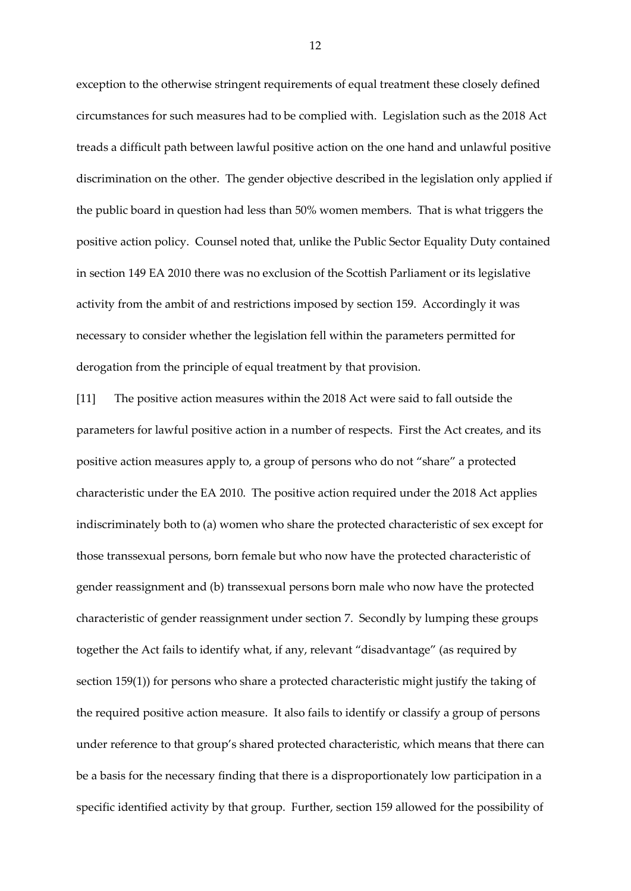exception to the otherwise stringent requirements of equal treatment these closely defined circumstances for such measures had to be complied with. Legislation such as the 2018 Act treads a difficult path between lawful positive action on the one hand and unlawful positive discrimination on the other. The gender objective described in the legislation only applied if the public board in question had less than 50% women members. That is what triggers the positive action policy. Counsel noted that, unlike the Public Sector Equality Duty contained in section 149 EA 2010 there was no exclusion of the Scottish Parliament or its legislative activity from the ambit of and restrictions imposed by section 159. Accordingly it was necessary to consider whether the legislation fell within the parameters permitted for derogation from the principle of equal treatment by that provision.

[11] The positive action measures within the 2018 Act were said to fall outside the parameters for lawful positive action in a number of respects. First the Act creates, and its positive action measures apply to, a group of persons who do not "share" a protected characteristic under the EA 2010. The positive action required under the 2018 Act applies indiscriminately both to (a) women who share the protected characteristic of sex except for those transsexual persons, born female but who now have the protected characteristic of gender reassignment and (b) transsexual persons born male who now have the protected characteristic of gender reassignment under section 7. Secondly by lumping these groups together the Act fails to identify what, if any, relevant "disadvantage" (as required by section 159(1)) for persons who share a protected characteristic might justify the taking of the required positive action measure. It also fails to identify or classify a group of persons under reference to that group's shared protected characteristic, which means that there can be a basis for the necessary finding that there is a disproportionately low participation in a specific identified activity by that group. Further, section 159 allowed for the possibility of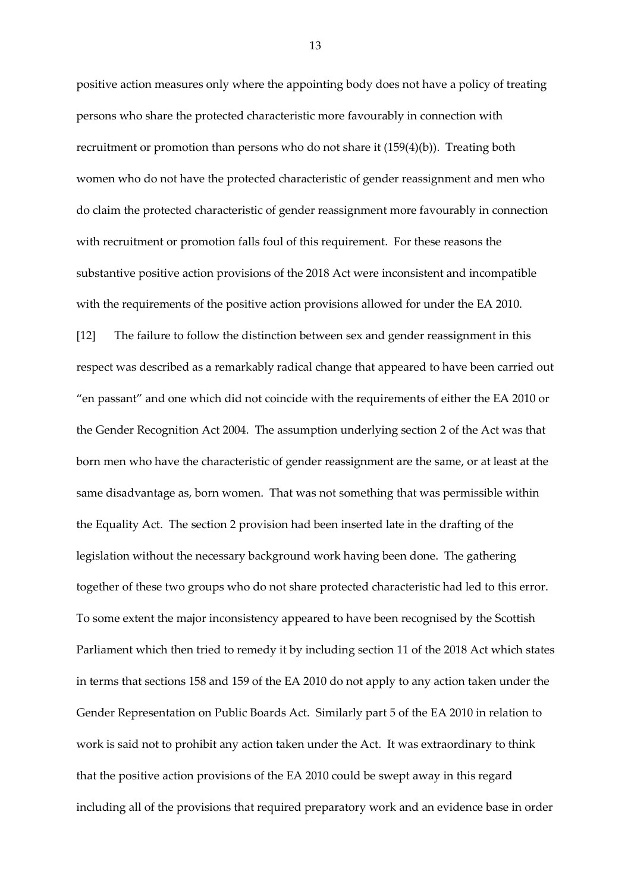positive action measures only where the appointing body does not have a policy of treating persons who share the protected characteristic more favourably in connection with recruitment or promotion than persons who do not share it (159(4)(b)). Treating both women who do not have the protected characteristic of gender reassignment and men who do claim the protected characteristic of gender reassignment more favourably in connection with recruitment or promotion falls foul of this requirement. For these reasons the substantive positive action provisions of the 2018 Act were inconsistent and incompatible with the requirements of the positive action provisions allowed for under the EA 2010.

[12] The failure to follow the distinction between sex and gender reassignment in this respect was described as a remarkably radical change that appeared to have been carried out "en passant" and one which did not coincide with the requirements of either the EA 2010 or the Gender Recognition Act 2004. The assumption underlying section 2 of the Act was that born men who have the characteristic of gender reassignment are the same, or at least at the same disadvantage as, born women. That was not something that was permissible within the Equality Act. The section 2 provision had been inserted late in the drafting of the legislation without the necessary background work having been done. The gathering together of these two groups who do not share protected characteristic had led to this error. To some extent the major inconsistency appeared to have been recognised by the Scottish Parliament which then tried to remedy it by including section 11 of the 2018 Act which states in terms that sections 158 and 159 of the EA 2010 do not apply to any action taken under the Gender Representation on Public Boards Act. Similarly part 5 of the EA 2010 in relation to work is said not to prohibit any action taken under the Act. It was extraordinary to think that the positive action provisions of the EA 2010 could be swept away in this regard including all of the provisions that required preparatory work and an evidence base in order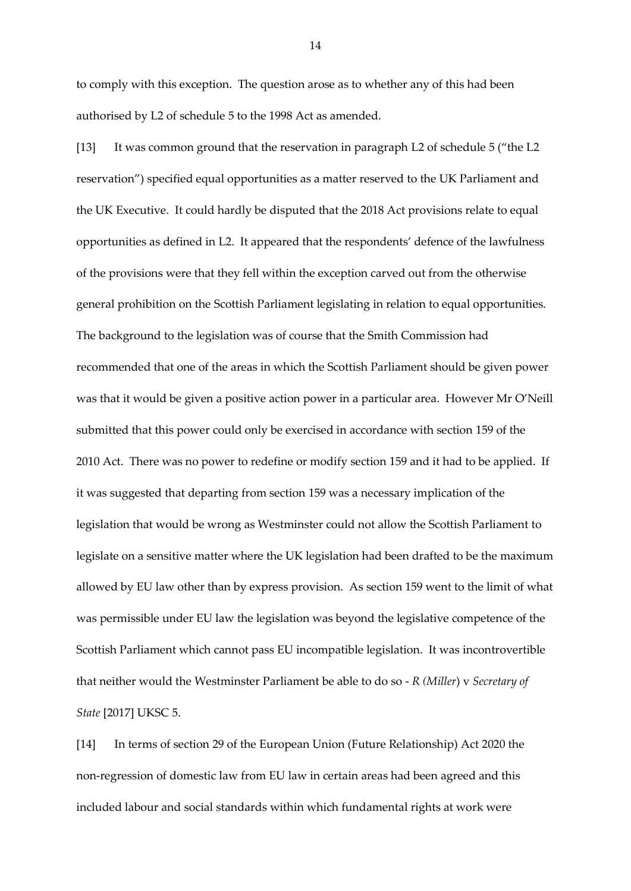to comply with this exception. The question arose as to whether any of this had been authorised by L2 of schedule 5 to the 1998 Act as amended.

[13] It was common ground that the reservation in paragraph L2 of schedule 5 ("the L2 reservation") specified equal opportunities as a matter reserved to the UK Parliament and the UK Executive. It could hardly be disputed that the 2018 Act provisions relate to equal opportunities as defined in L2. It appeared that the respondents' defence of the lawfulness of the provisions were that they fell within the exception carved out from the otherwise general prohibition on the Scottish Parliament legislating in relation to equal opportunities. The background to the legislation was of course that the Smith Commission had recommended that one of the areas in which the Scottish Parliament should be given power was that it would be given a positive action power in a particular area. However Mr O'Neill submitted that this power could only be exercised in accordance with section 159 of the 2010 Act. There was no power to redefine or modify section 159 and it had to be applied. If it was suggested that departing from section 159 was a necessary implication of the legislation that would be wrong as Westminster could not allow the Scottish Parliament to legislate on a sensitive matter where the UK legislation had been drafted to be the maximum allowed by EU law other than by express provision. As section 159 went to the limit of what was permissible under EU law the legislation was beyond the legislative competence of the Scottish Parliament which cannot pass EU incompatible legislation. It was incontrovertible that neither would the Westminster Parliament be able to do so - *R (Miller*) v *Secretary of State* [2017] UKSC 5.

[14] In terms of section 29 of the European Union (Future Relationship) Act 2020 the non-regression of domestic law from EU law in certain areas had been agreed and this included labour and social standards within which fundamental rights at work were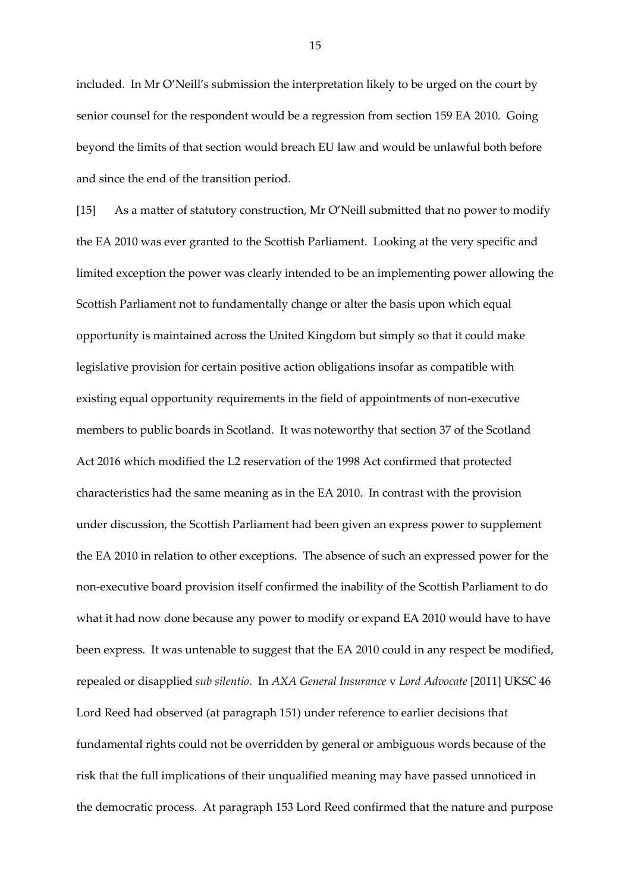included. In Mr O'Neill's submission the interpretation likely to be urged on the court by senior counsel for the respondent would be a regression from section 159 EA 2010. Going beyond the limits of that section would breach EU law and would be unlawful both before and since the end of the transition period.

[15] As a matter of statutory construction, Mr O'Neill submitted that no power to modify the EA 2010 was ever granted to the Scottish Parliament. Looking at the very specific and limited exception the power was clearly intended to be an implementing power allowing the Scottish Parliament not to fundamentally change or alter the basis upon which equal opportunity is maintained across the United Kingdom but simply so that it could make legislative provision for certain positive action obligations insofar as compatible with existing equal opportunity requirements in the field of appointments of non-executive members to public boards in Scotland. It was noteworthy that section 37 of the Scotland Act 2016 which modified the L2 reservation of the 1998 Act confirmed that protected characteristics had the same meaning as in the EA 2010. In contrast with the provision under discussion, the Scottish Parliament had been given an express power to supplement the EA 2010 in relation to other exceptions. The absence of such an expressed power for the non-executive board provision itself confirmed the inability of the Scottish Parliament to do what it had now done because any power to modify or expand EA 2010 would have to have been express. It was untenable to suggest that the EA 2010 could in any respect be modified, repealed or disapplied *sub silentio*. In *AXA General Insurance* v *Lord Advocate* [2011] UKSC 46 Lord Reed had observed (at paragraph 151) under reference to earlier decisions that fundamental rights could not be overridden by general or ambiguous words because of the risk that the full implications of their unqualified meaning may have passed unnoticed in the democratic process. At paragraph 153 Lord Reed confirmed that the nature and purpose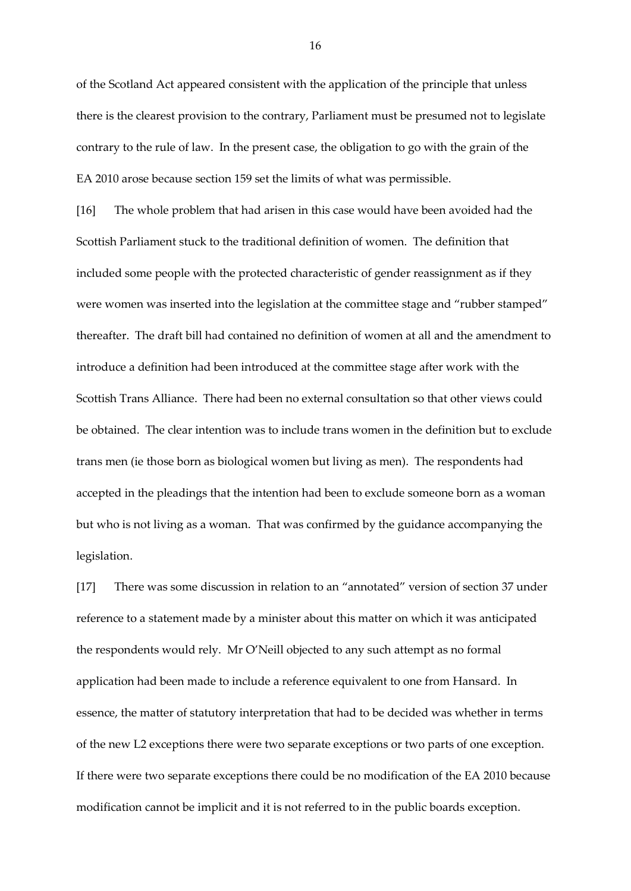of the Scotland Act appeared consistent with the application of the principle that unless there is the clearest provision to the contrary, Parliament must be presumed not to legislate contrary to the rule of law. In the present case, the obligation to go with the grain of the EA 2010 arose because section 159 set the limits of what was permissible.

[16] The whole problem that had arisen in this case would have been avoided had the Scottish Parliament stuck to the traditional definition of women. The definition that included some people with the protected characteristic of gender reassignment as if they were women was inserted into the legislation at the committee stage and "rubber stamped" thereafter. The draft bill had contained no definition of women at all and the amendment to introduce a definition had been introduced at the committee stage after work with the Scottish Trans Alliance. There had been no external consultation so that other views could be obtained. The clear intention was to include trans women in the definition but to exclude trans men (ie those born as biological women but living as men). The respondents had accepted in the pleadings that the intention had been to exclude someone born as a woman but who is not living as a woman. That was confirmed by the guidance accompanying the legislation.

[17] There was some discussion in relation to an "annotated" version of section 37 under reference to a statement made by a minister about this matter on which it was anticipated the respondents would rely. Mr O'Neill objected to any such attempt as no formal application had been made to include a reference equivalent to one from Hansard. In essence, the matter of statutory interpretation that had to be decided was whether in terms of the new L2 exceptions there were two separate exceptions or two parts of one exception. If there were two separate exceptions there could be no modification of the EA 2010 because modification cannot be implicit and it is not referred to in the public boards exception.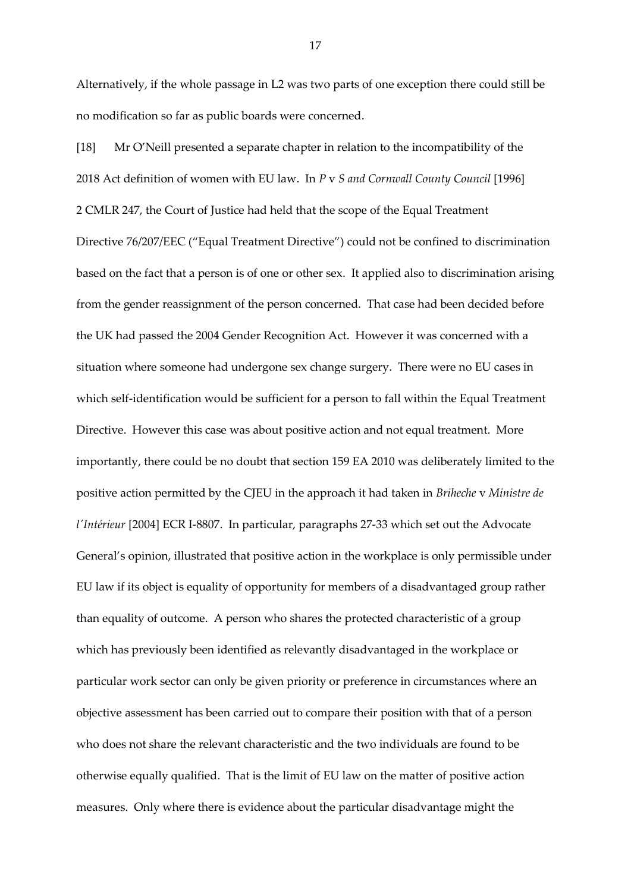Alternatively, if the whole passage in L2 was two parts of one exception there could still be no modification so far as public boards were concerned.

[18] Mr O'Neill presented a separate chapter in relation to the incompatibility of the 2018 Act definition of women with EU law. In *P* v *S and Cornwall County Council* [1996] 2 CMLR 247, the Court of Justice had held that the scope of the Equal Treatment Directive 76/207/EEC ("Equal Treatment Directive") could not be confined to discrimination based on the fact that a person is of one or other sex. It applied also to discrimination arising from the gender reassignment of the person concerned. That case had been decided before the UK had passed the 2004 Gender Recognition Act. However it was concerned with a situation where someone had undergone sex change surgery. There were no EU cases in which self-identification would be sufficient for a person to fall within the Equal Treatment Directive. However this case was about positive action and not equal treatment. More importantly, there could be no doubt that section 159 EA 2010 was deliberately limited to the positive action permitted by the CJEU in the approach it had taken in *Briheche* v *Ministre de l'Intérieur* [2004] ECR I-8807. In particular, paragraphs 27-33 which set out the Advocate General's opinion, illustrated that positive action in the workplace is only permissible under EU law if its object is equality of opportunity for members of a disadvantaged group rather than equality of outcome. A person who shares the protected characteristic of a group which has previously been identified as relevantly disadvantaged in the workplace or particular work sector can only be given priority or preference in circumstances where an objective assessment has been carried out to compare their position with that of a person who does not share the relevant characteristic and the two individuals are found to be otherwise equally qualified. That is the limit of EU law on the matter of positive action measures. Only where there is evidence about the particular disadvantage might the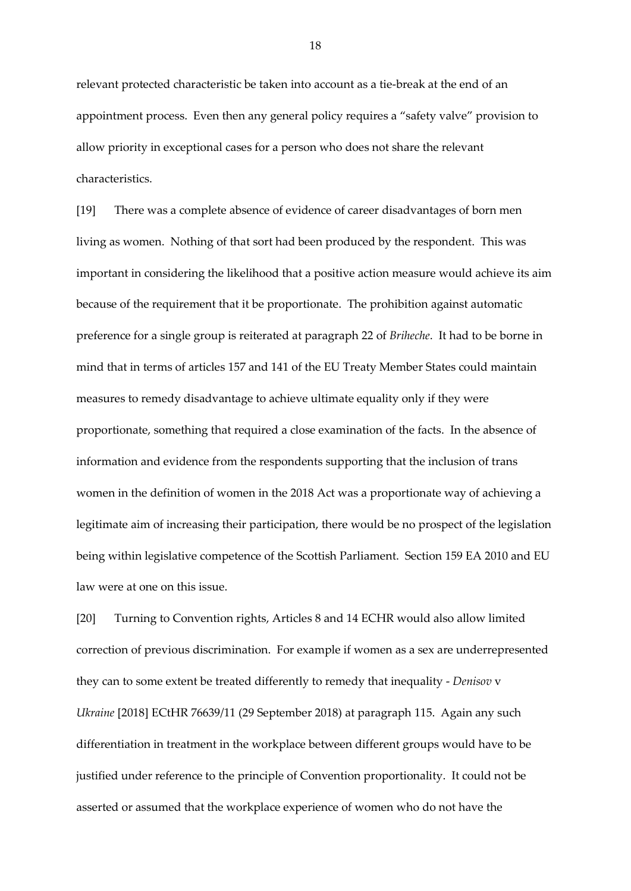relevant protected characteristic be taken into account as a tie-break at the end of an appointment process. Even then any general policy requires a "safety valve" provision to allow priority in exceptional cases for a person who does not share the relevant characteristics.

[19] There was a complete absence of evidence of career disadvantages of born men living as women. Nothing of that sort had been produced by the respondent. This was important in considering the likelihood that a positive action measure would achieve its aim because of the requirement that it be proportionate. The prohibition against automatic preference for a single group is reiterated at paragraph 22 of *Briheche*. It had to be borne in mind that in terms of articles 157 and 141 of the EU Treaty Member States could maintain measures to remedy disadvantage to achieve ultimate equality only if they were proportionate, something that required a close examination of the facts. In the absence of information and evidence from the respondents supporting that the inclusion of trans women in the definition of women in the 2018 Act was a proportionate way of achieving a legitimate aim of increasing their participation, there would be no prospect of the legislation being within legislative competence of the Scottish Parliament. Section 159 EA 2010 and EU law were at one on this issue.

[20] Turning to Convention rights, Articles 8 and 14 ECHR would also allow limited correction of previous discrimination. For example if women as a sex are underrepresented they can to some extent be treated differently to remedy that inequality - *Denisov* v *Ukraine* [2018] ECtHR 76639/11 (29 September 2018) at paragraph 115. Again any such differentiation in treatment in the workplace between different groups would have to be justified under reference to the principle of Convention proportionality. It could not be asserted or assumed that the workplace experience of women who do not have the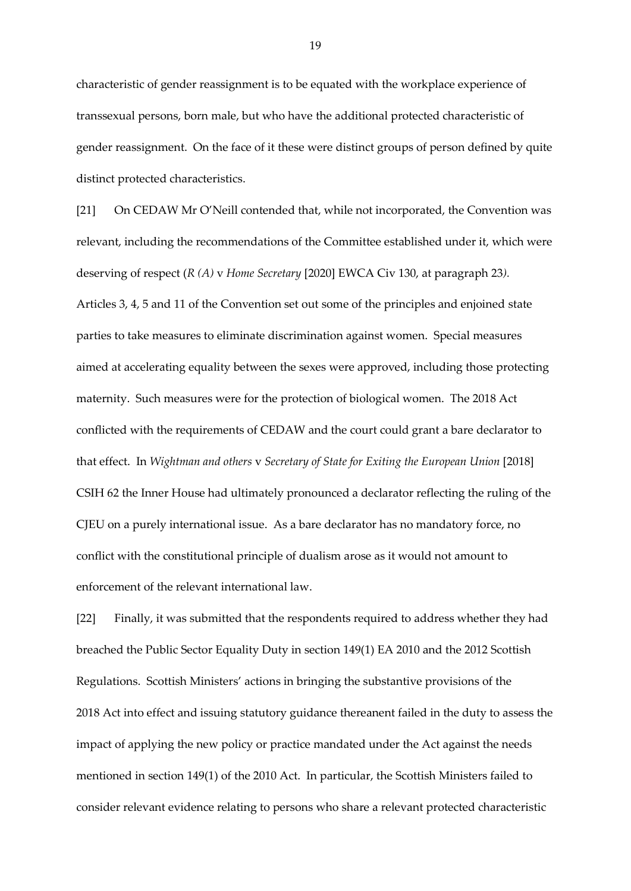characteristic of gender reassignment is to be equated with the workplace experience of transsexual persons, born male, but who have the additional protected characteristic of gender reassignment. On the face of it these were distinct groups of person defined by quite distinct protected characteristics.

[21] On CEDAW Mr O'Neill contended that, while not incorporated, the Convention was relevant, including the recommendations of the Committee established under it, which were deserving of respect (*R (A)* v *Home Secretary* [2020] EWCA Civ 130, at paragraph 23*).*  Articles 3, 4, 5 and 11 of the Convention set out some of the principles and enjoined state parties to take measures to eliminate discrimination against women. Special measures aimed at accelerating equality between the sexes were approved, including those protecting maternity. Such measures were for the protection of biological women. The 2018 Act conflicted with the requirements of CEDAW and the court could grant a bare declarator to that effect. In *Wightman and others* v *Secretary of State for Exiting the European Union* [2018] CSIH 62 the Inner House had ultimately pronounced a declarator reflecting the ruling of the CJEU on a purely international issue. As a bare declarator has no mandatory force, no conflict with the constitutional principle of dualism arose as it would not amount to enforcement of the relevant international law.

[22] Finally, it was submitted that the respondents required to address whether they had breached the Public Sector Equality Duty in section 149(1) EA 2010 and the 2012 Scottish Regulations. Scottish Ministers' actions in bringing the substantive provisions of the 2018 Act into effect and issuing statutory guidance thereanent failed in the duty to assess the impact of applying the new policy or practice mandated under the Act against the needs mentioned in section 149(1) of the 2010 Act. In particular, the Scottish Ministers failed to consider relevant evidence relating to persons who share a relevant protected characteristic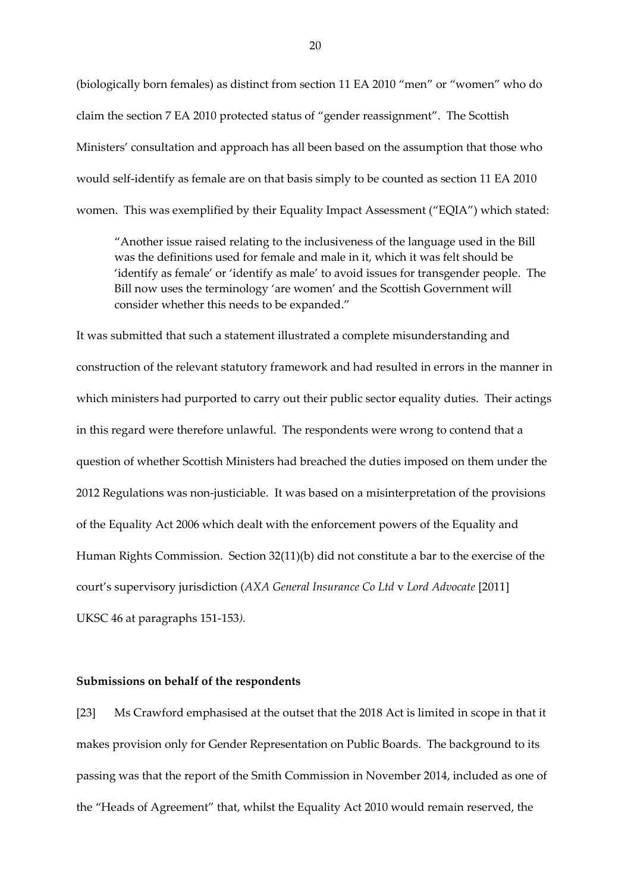(biologically born females) as distinct from section 11 EA 2010 "men" or "women" who do claim the section 7 EA 2010 protected status of "gender reassignment". The Scottish Ministers' consultation and approach has all been based on the assumption that those who would self-identify as female are on that basis simply to be counted as section 11 EA 2010 women. This was exemplified by their Equality Impact Assessment ("EQIA") which stated:

"Another issue raised relating to the inclusiveness of the language used in the Bill was the definitions used for female and male in it, which it was felt should be 'identify as female' or 'identify as male' to avoid issues for transgender people. The Bill now uses the terminology 'are women' and the Scottish Government will consider whether this needs to be expanded."

It was submitted that such a statement illustrated a complete misunderstanding and construction of the relevant statutory framework and had resulted in errors in the manner in which ministers had purported to carry out their public sector equality duties. Their actings in this regard were therefore unlawful. The respondents were wrong to contend that a question of whether Scottish Ministers had breached the duties imposed on them under the 2012 Regulations was non-justiciable. It was based on a misinterpretation of the provisions of the Equality Act 2006 which dealt with the enforcement powers of the Equality and Human Rights Commission. Section 32(11)(b) did not constitute a bar to the exercise of the court's supervisory jurisdiction (*AXA General Insurance Co Ltd* v *Lord Advocate* [2011] UKSC 46 at paragraphs 151-153*).*

#### **Submissions on behalf of the respondents**

[23] Ms Crawford emphasised at the outset that the 2018 Act is limited in scope in that it makes provision only for Gender Representation on Public Boards. The background to its passing was that the report of the Smith Commission in November 2014, included as one of the "Heads of Agreement" that, whilst the Equality Act 2010 would remain reserved, the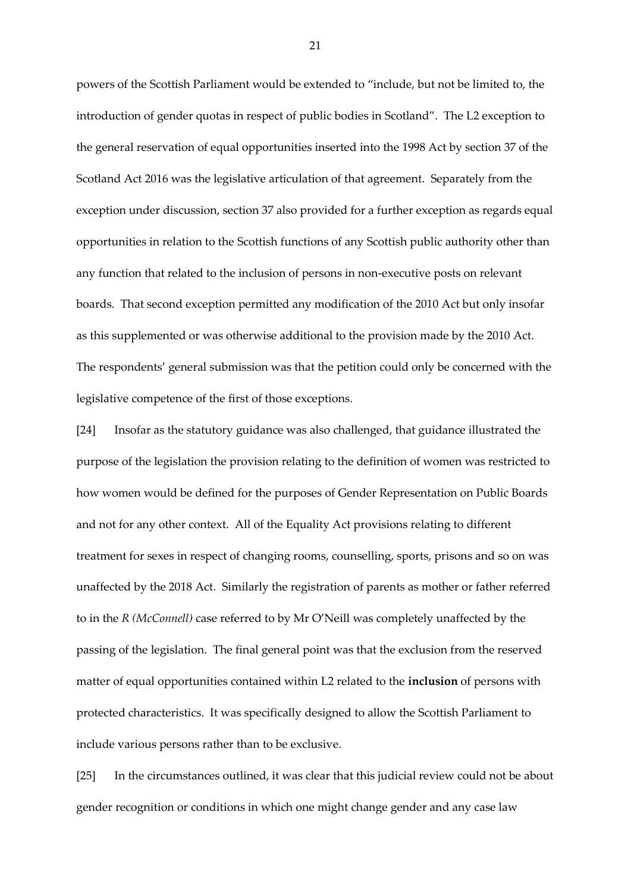powers of the Scottish Parliament would be extended to "include, but not be limited to, the introduction of gender quotas in respect of public bodies in Scotland". The L2 exception to the general reservation of equal opportunities inserted into the 1998 Act by section 37 of the Scotland Act 2016 was the legislative articulation of that agreement. Separately from the exception under discussion, section 37 also provided for a further exception as regards equal opportunities in relation to the Scottish functions of any Scottish public authority other than any function that related to the inclusion of persons in non-executive posts on relevant boards. That second exception permitted any modification of the 2010 Act but only insofar as this supplemented or was otherwise additional to the provision made by the 2010 Act. The respondents' general submission was that the petition could only be concerned with the legislative competence of the first of those exceptions.

[24] Insofar as the statutory guidance was also challenged, that guidance illustrated the purpose of the legislation the provision relating to the definition of women was restricted to how women would be defined for the purposes of Gender Representation on Public Boards and not for any other context. All of the Equality Act provisions relating to different treatment for sexes in respect of changing rooms, counselling, sports, prisons and so on was unaffected by the 2018 Act. Similarly the registration of parents as mother or father referred to in the *R (McConnell)* case referred to by Mr O'Neill was completely unaffected by the passing of the legislation. The final general point was that the exclusion from the reserved matter of equal opportunities contained within L2 related to the **inclusion** of persons with protected characteristics. It was specifically designed to allow the Scottish Parliament to include various persons rather than to be exclusive.

[25] In the circumstances outlined, it was clear that this judicial review could not be about gender recognition or conditions in which one might change gender and any case law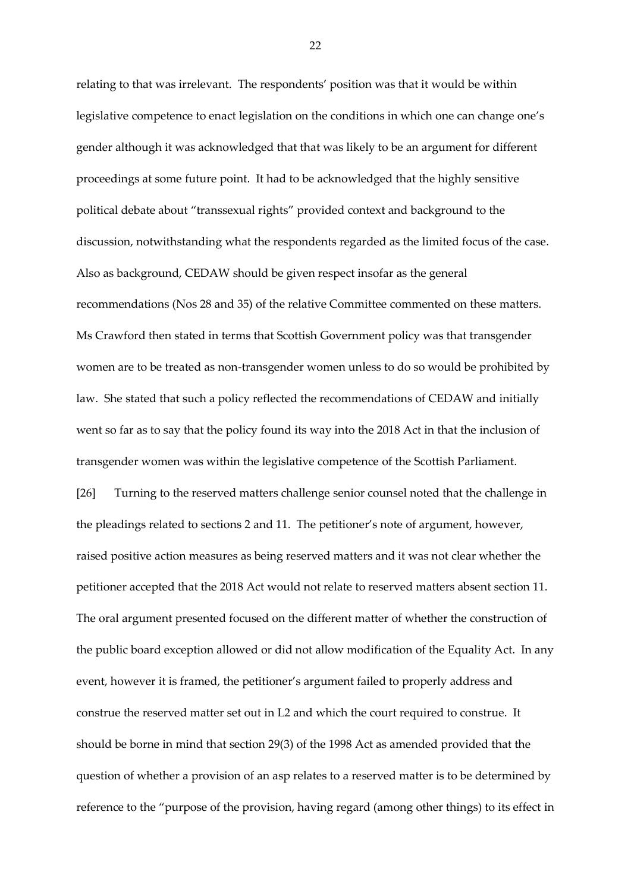relating to that was irrelevant. The respondents' position was that it would be within legislative competence to enact legislation on the conditions in which one can change one's gender although it was acknowledged that that was likely to be an argument for different proceedings at some future point. It had to be acknowledged that the highly sensitive political debate about "transsexual rights" provided context and background to the discussion, notwithstanding what the respondents regarded as the limited focus of the case. Also as background, CEDAW should be given respect insofar as the general recommendations (Nos 28 and 35) of the relative Committee commented on these matters. Ms Crawford then stated in terms that Scottish Government policy was that transgender women are to be treated as non-transgender women unless to do so would be prohibited by law. She stated that such a policy reflected the recommendations of CEDAW and initially went so far as to say that the policy found its way into the 2018 Act in that the inclusion of transgender women was within the legislative competence of the Scottish Parliament. [26] Turning to the reserved matters challenge senior counsel noted that the challenge in the pleadings related to sections 2 and 11. The petitioner's note of argument, however, raised positive action measures as being reserved matters and it was not clear whether the petitioner accepted that the 2018 Act would not relate to reserved matters absent section 11. The oral argument presented focused on the different matter of whether the construction of the public board exception allowed or did not allow modification of the Equality Act. In any event, however it is framed, the petitioner's argument failed to properly address and construe the reserved matter set out in L2 and which the court required to construe. It should be borne in mind that section 29(3) of the 1998 Act as amended provided that the question of whether a provision of an asp relates to a reserved matter is to be determined by reference to the "purpose of the provision, having regard (among other things) to its effect in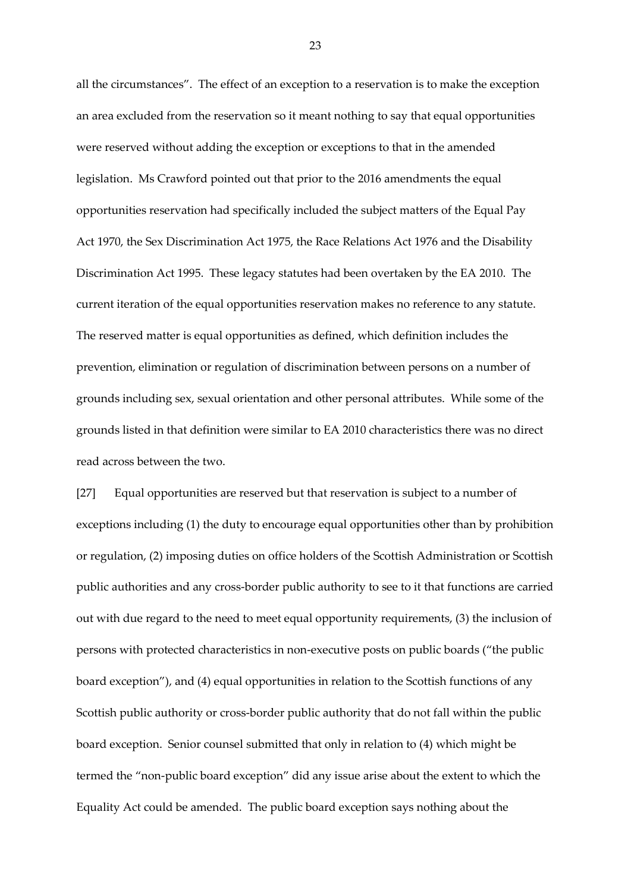all the circumstances". The effect of an exception to a reservation is to make the exception an area excluded from the reservation so it meant nothing to say that equal opportunities were reserved without adding the exception or exceptions to that in the amended legislation. Ms Crawford pointed out that prior to the 2016 amendments the equal opportunities reservation had specifically included the subject matters of the Equal Pay Act 1970, the Sex Discrimination Act 1975, the Race Relations Act 1976 and the Disability Discrimination Act 1995. These legacy statutes had been overtaken by the EA 2010. The current iteration of the equal opportunities reservation makes no reference to any statute. The reserved matter is equal opportunities as defined, which definition includes the prevention, elimination or regulation of discrimination between persons on a number of grounds including sex, sexual orientation and other personal attributes. While some of the grounds listed in that definition were similar to EA 2010 characteristics there was no direct read across between the two.

[27] Equal opportunities are reserved but that reservation is subject to a number of exceptions including (1) the duty to encourage equal opportunities other than by prohibition or regulation, (2) imposing duties on office holders of the Scottish Administration or Scottish public authorities and any cross-border public authority to see to it that functions are carried out with due regard to the need to meet equal opportunity requirements, (3) the inclusion of persons with protected characteristics in non-executive posts on public boards ("the public board exception"), and (4) equal opportunities in relation to the Scottish functions of any Scottish public authority or cross-border public authority that do not fall within the public board exception. Senior counsel submitted that only in relation to (4) which might be termed the "non-public board exception" did any issue arise about the extent to which the Equality Act could be amended. The public board exception says nothing about the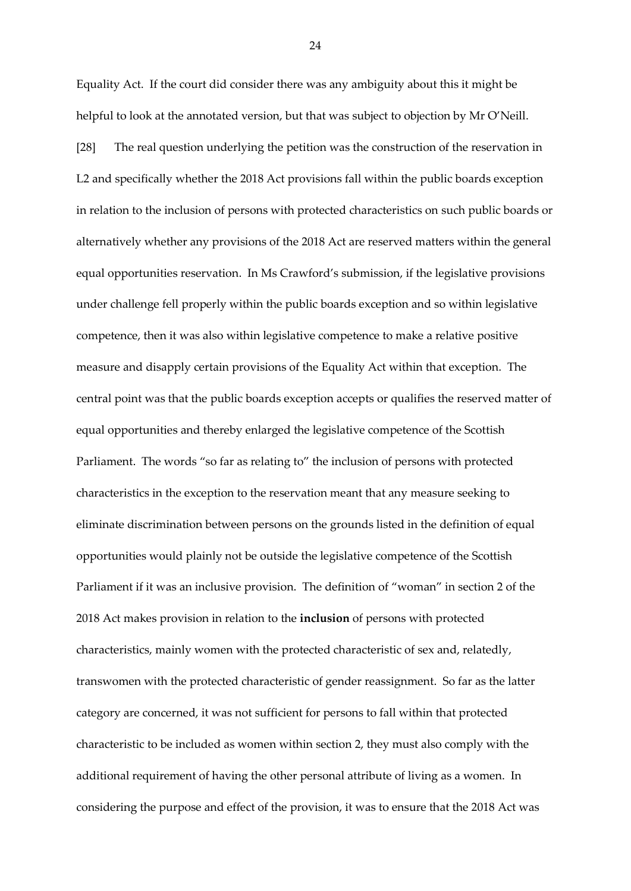Equality Act. If the court did consider there was any ambiguity about this it might be helpful to look at the annotated version, but that was subject to objection by Mr O'Neill.

[28] The real question underlying the petition was the construction of the reservation in L2 and specifically whether the 2018 Act provisions fall within the public boards exception in relation to the inclusion of persons with protected characteristics on such public boards or alternatively whether any provisions of the 2018 Act are reserved matters within the general equal opportunities reservation. In Ms Crawford's submission, if the legislative provisions under challenge fell properly within the public boards exception and so within legislative competence, then it was also within legislative competence to make a relative positive measure and disapply certain provisions of the Equality Act within that exception. The central point was that the public boards exception accepts or qualifies the reserved matter of equal opportunities and thereby enlarged the legislative competence of the Scottish Parliament. The words "so far as relating to" the inclusion of persons with protected characteristics in the exception to the reservation meant that any measure seeking to eliminate discrimination between persons on the grounds listed in the definition of equal opportunities would plainly not be outside the legislative competence of the Scottish Parliament if it was an inclusive provision. The definition of "woman" in section 2 of the 2018 Act makes provision in relation to the **inclusion** of persons with protected characteristics, mainly women with the protected characteristic of sex and, relatedly, transwomen with the protected characteristic of gender reassignment. So far as the latter category are concerned, it was not sufficient for persons to fall within that protected characteristic to be included as women within section 2, they must also comply with the additional requirement of having the other personal attribute of living as a women. In considering the purpose and effect of the provision, it was to ensure that the 2018 Act was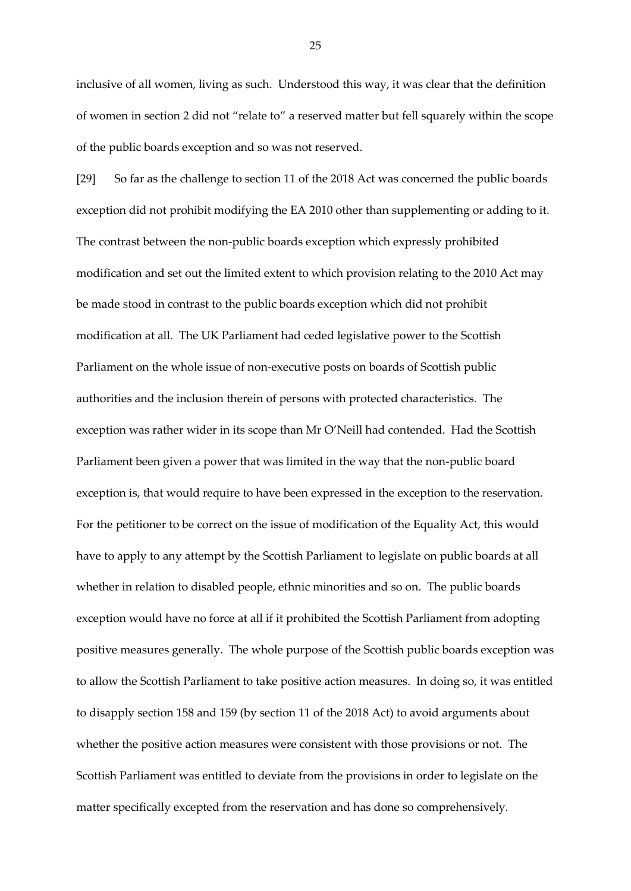inclusive of all women, living as such. Understood this way, it was clear that the definition of women in section 2 did not "relate to" a reserved matter but fell squarely within the scope of the public boards exception and so was not reserved.

[29] So far as the challenge to section 11 of the 2018 Act was concerned the public boards exception did not prohibit modifying the EA 2010 other than supplementing or adding to it. The contrast between the non-public boards exception which expressly prohibited modification and set out the limited extent to which provision relating to the 2010 Act may be made stood in contrast to the public boards exception which did not prohibit modification at all. The UK Parliament had ceded legislative power to the Scottish Parliament on the whole issue of non-executive posts on boards of Scottish public authorities and the inclusion therein of persons with protected characteristics. The exception was rather wider in its scope than Mr O'Neill had contended. Had the Scottish Parliament been given a power that was limited in the way that the non-public board exception is, that would require to have been expressed in the exception to the reservation. For the petitioner to be correct on the issue of modification of the Equality Act, this would have to apply to any attempt by the Scottish Parliament to legislate on public boards at all whether in relation to disabled people, ethnic minorities and so on. The public boards exception would have no force at all if it prohibited the Scottish Parliament from adopting positive measures generally. The whole purpose of the Scottish public boards exception was to allow the Scottish Parliament to take positive action measures. In doing so, it was entitled to disapply section 158 and 159 (by section 11 of the 2018 Act) to avoid arguments about whether the positive action measures were consistent with those provisions or not. The Scottish Parliament was entitled to deviate from the provisions in order to legislate on the matter specifically excepted from the reservation and has done so comprehensively.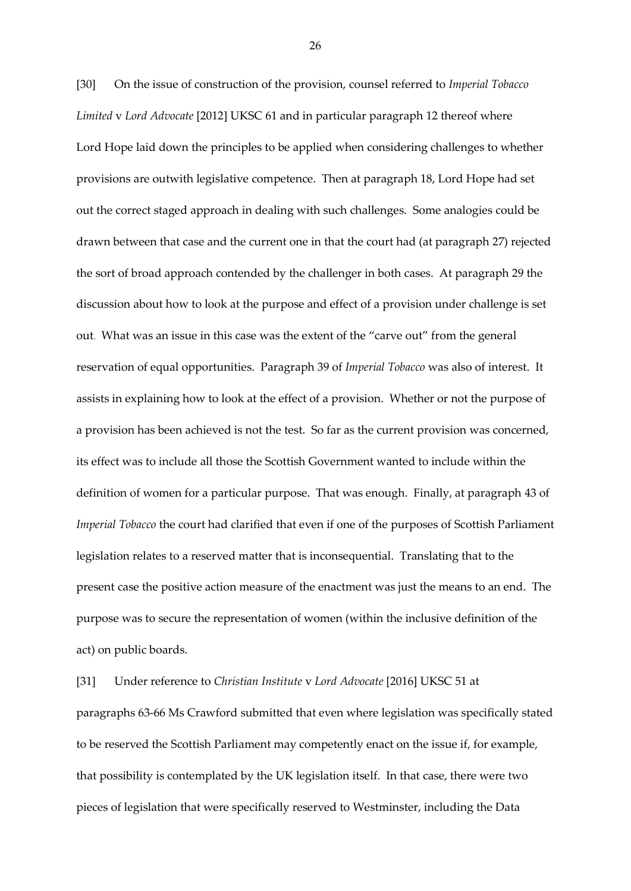[30] On the issue of construction of the provision, counsel referred to *Imperial Tobacco Limited* v *Lord Advocate* [2012] UKSC 61 and in particular paragraph 12 thereof where Lord Hope laid down the principles to be applied when considering challenges to whether provisions are outwith legislative competence. Then at paragraph 18, Lord Hope had set out the correct staged approach in dealing with such challenges. Some analogies could be drawn between that case and the current one in that the court had (at paragraph 27) rejected the sort of broad approach contended by the challenger in both cases. At paragraph 29 the discussion about how to look at the purpose and effect of a provision under challenge is set out. What was an issue in this case was the extent of the "carve out" from the general reservation of equal opportunities. Paragraph 39 of *Imperial Tobacco* was also of interest. It assists in explaining how to look at the effect of a provision. Whether or not the purpose of a provision has been achieved is not the test. So far as the current provision was concerned, its effect was to include all those the Scottish Government wanted to include within the definition of women for a particular purpose. That was enough. Finally, at paragraph 43 of *Imperial Tobacco* the court had clarified that even if one of the purposes of Scottish Parliament legislation relates to a reserved matter that is inconsequential. Translating that to the present case the positive action measure of the enactment was just the means to an end. The purpose was to secure the representation of women (within the inclusive definition of the act) on public boards.

[31] Under reference to *Christian Institute* v *Lord Advocate* [2016] UKSC 51 at paragraphs 63-66 Ms Crawford submitted that even where legislation was specifically stated to be reserved the Scottish Parliament may competently enact on the issue if, for example, that possibility is contemplated by the UK legislation itself. In that case, there were two pieces of legislation that were specifically reserved to Westminster, including the Data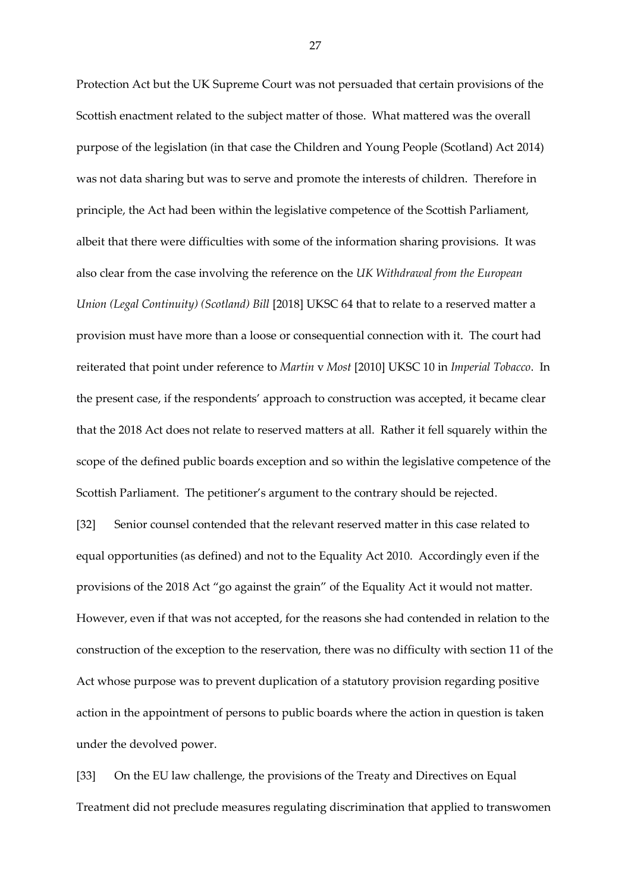Protection Act but the UK Supreme Court was not persuaded that certain provisions of the Scottish enactment related to the subject matter of those. What mattered was the overall purpose of the legislation (in that case the Children and Young People (Scotland) Act 2014) was not data sharing but was to serve and promote the interests of children. Therefore in principle, the Act had been within the legislative competence of the Scottish Parliament, albeit that there were difficulties with some of the information sharing provisions. It was also clear from the case involving the reference on the *UK Withdrawal from the European Union (Legal Continuity) (Scotland) Bill* [2018] UKSC 64 that to relate to a reserved matter a provision must have more than a loose or consequential connection with it. The court had reiterated that point under reference to *Martin* v *Most* [2010] UKSC 10 in *Imperial Tobacco*. In the present case, if the respondents' approach to construction was accepted, it became clear that the 2018 Act does not relate to reserved matters at all. Rather it fell squarely within the scope of the defined public boards exception and so within the legislative competence of the Scottish Parliament. The petitioner's argument to the contrary should be rejected.

[32] Senior counsel contended that the relevant reserved matter in this case related to equal opportunities (as defined) and not to the Equality Act 2010. Accordingly even if the provisions of the 2018 Act "go against the grain" of the Equality Act it would not matter. However, even if that was not accepted, for the reasons she had contended in relation to the construction of the exception to the reservation, there was no difficulty with section 11 of the Act whose purpose was to prevent duplication of a statutory provision regarding positive action in the appointment of persons to public boards where the action in question is taken under the devolved power.

[33] On the EU law challenge, the provisions of the Treaty and Directives on Equal Treatment did not preclude measures regulating discrimination that applied to transwomen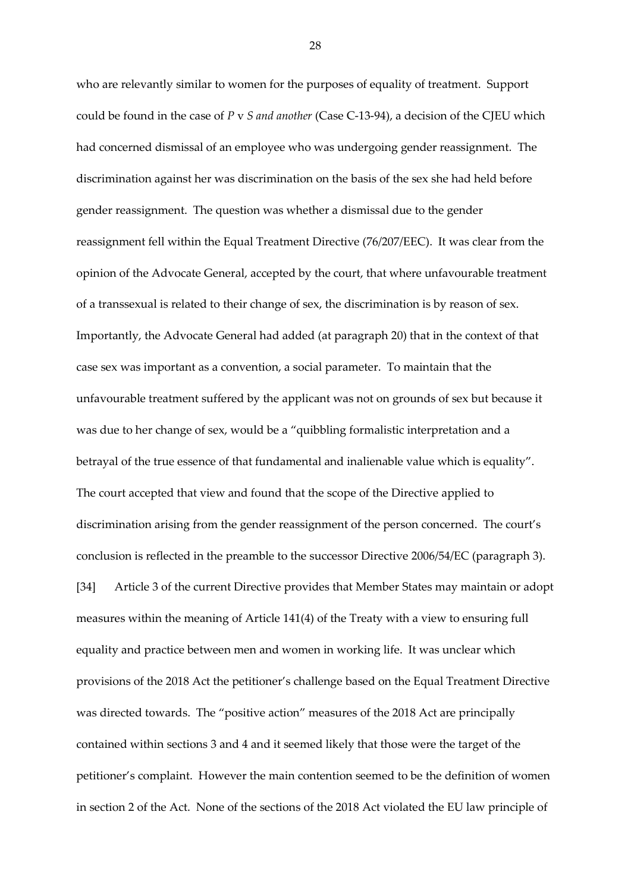who are relevantly similar to women for the purposes of equality of treatment. Support could be found in the case of *P* v *S and another* (Case C-13-94), a decision of the CJEU which had concerned dismissal of an employee who was undergoing gender reassignment. The discrimination against her was discrimination on the basis of the sex she had held before gender reassignment. The question was whether a dismissal due to the gender reassignment fell within the Equal Treatment Directive (76/207/EEC). It was clear from the opinion of the Advocate General, accepted by the court, that where unfavourable treatment of a transsexual is related to their change of sex, the discrimination is by reason of sex. Importantly, the Advocate General had added (at paragraph 20) that in the context of that case sex was important as a convention, a social parameter. To maintain that the unfavourable treatment suffered by the applicant was not on grounds of sex but because it was due to her change of sex, would be a "quibbling formalistic interpretation and a betrayal of the true essence of that fundamental and inalienable value which is equality". The court accepted that view and found that the scope of the Directive applied to discrimination arising from the gender reassignment of the person concerned. The court's conclusion is reflected in the preamble to the successor Directive 2006/54/EC (paragraph 3). [34] Article 3 of the current Directive provides that Member States may maintain or adopt measures within the meaning of Article 141(4) of the Treaty with a view to ensuring full equality and practice between men and women in working life. It was unclear which provisions of the 2018 Act the petitioner's challenge based on the Equal Treatment Directive was directed towards. The "positive action" measures of the 2018 Act are principally contained within sections 3 and 4 and it seemed likely that those were the target of the petitioner's complaint. However the main contention seemed to be the definition of women in section 2 of the Act. None of the sections of the 2018 Act violated the EU law principle of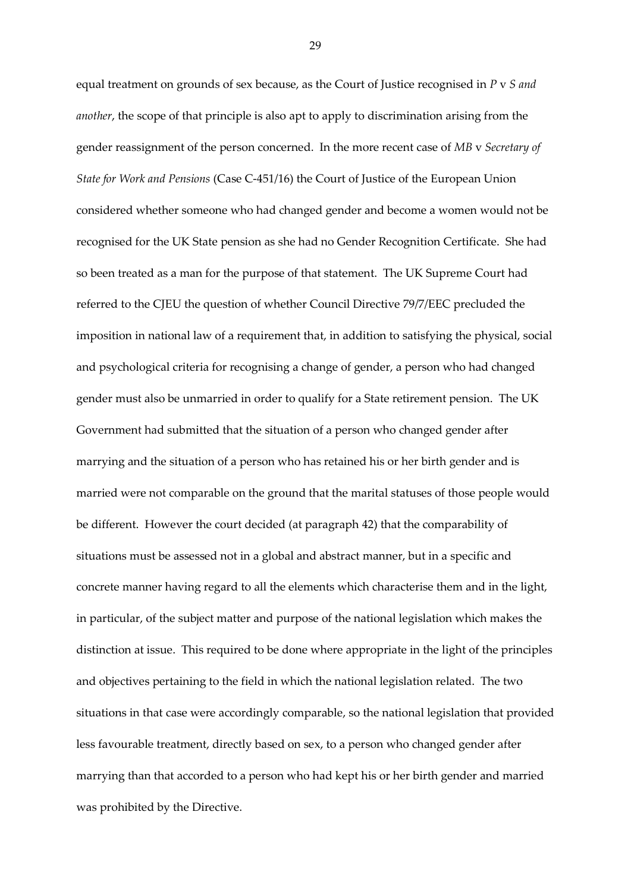equal treatment on grounds of sex because, as the Court of Justice recognised in *P* v *S and another*, the scope of that principle is also apt to apply to discrimination arising from the gender reassignment of the person concerned. In the more recent case of *MB* v *Secretary of State for Work and Pensions* (Case C-451/16) the Court of Justice of the European Union considered whether someone who had changed gender and become a women would not be recognised for the UK State pension as she had no Gender Recognition Certificate. She had so been treated as a man for the purpose of that statement. The UK Supreme Court had referred to the CJEU the question of whether Council Directive 79/7/EEC precluded the imposition in national law of a requirement that, in addition to satisfying the physical, social and psychological criteria for recognising a change of gender, a person who had changed gender must also be unmarried in order to qualify for a State retirement pension. The UK Government had submitted that the situation of a person who changed gender after marrying and the situation of a person who has retained his or her birth gender and is married were not comparable on the ground that the marital statuses of those people would be different. However the court decided (at paragraph 42) that the comparability of situations must be assessed not in a global and abstract manner, but in a specific and concrete manner having regard to all the elements which characterise them and in the light, in particular, of the subject matter and purpose of the national legislation which makes the distinction at issue. This required to be done where appropriate in the light of the principles and objectives pertaining to the field in which the national legislation related. The two situations in that case were accordingly comparable, so the national legislation that provided less favourable treatment, directly based on sex, to a person who changed gender after marrying than that accorded to a person who had kept his or her birth gender and married was prohibited by the Directive.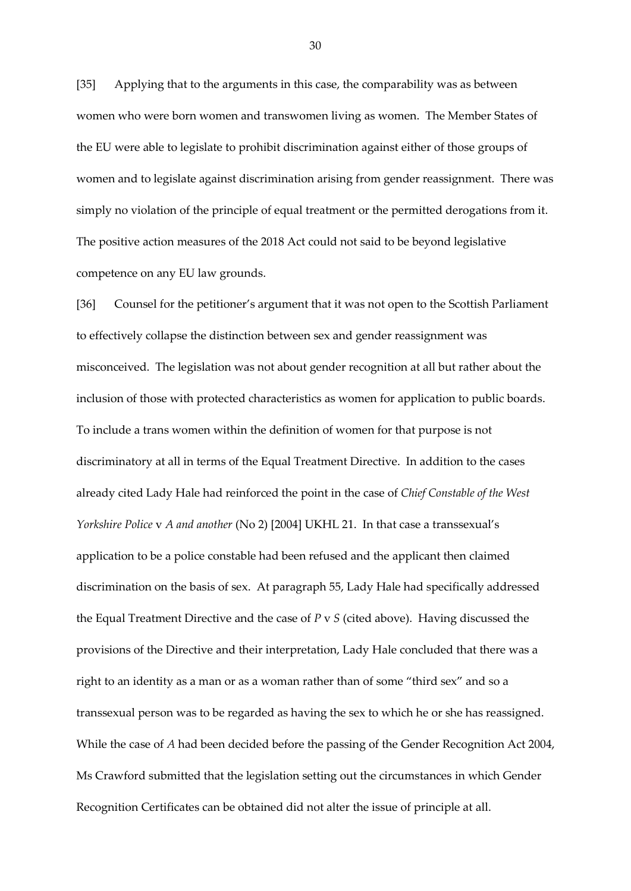[35] Applying that to the arguments in this case, the comparability was as between women who were born women and transwomen living as women. The Member States of the EU were able to legislate to prohibit discrimination against either of those groups of women and to legislate against discrimination arising from gender reassignment. There was simply no violation of the principle of equal treatment or the permitted derogations from it. The positive action measures of the 2018 Act could not said to be beyond legislative competence on any EU law grounds.

[36] Counsel for the petitioner's argument that it was not open to the Scottish Parliament to effectively collapse the distinction between sex and gender reassignment was misconceived. The legislation was not about gender recognition at all but rather about the inclusion of those with protected characteristics as women for application to public boards. To include a trans women within the definition of women for that purpose is not discriminatory at all in terms of the Equal Treatment Directive. In addition to the cases already cited Lady Hale had reinforced the point in the case of *Chief Constable of the West Yorkshire Police* v *A and another* (No 2) [2004] UKHL 21. In that case a transsexual's application to be a police constable had been refused and the applicant then claimed discrimination on the basis of sex. At paragraph 55, Lady Hale had specifically addressed the Equal Treatment Directive and the case of *P* v *S* (cited above). Having discussed the provisions of the Directive and their interpretation, Lady Hale concluded that there was a right to an identity as a man or as a woman rather than of some "third sex" and so a transsexual person was to be regarded as having the sex to which he or she has reassigned. While the case of *A* had been decided before the passing of the Gender Recognition Act 2004, Ms Crawford submitted that the legislation setting out the circumstances in which Gender Recognition Certificates can be obtained did not alter the issue of principle at all.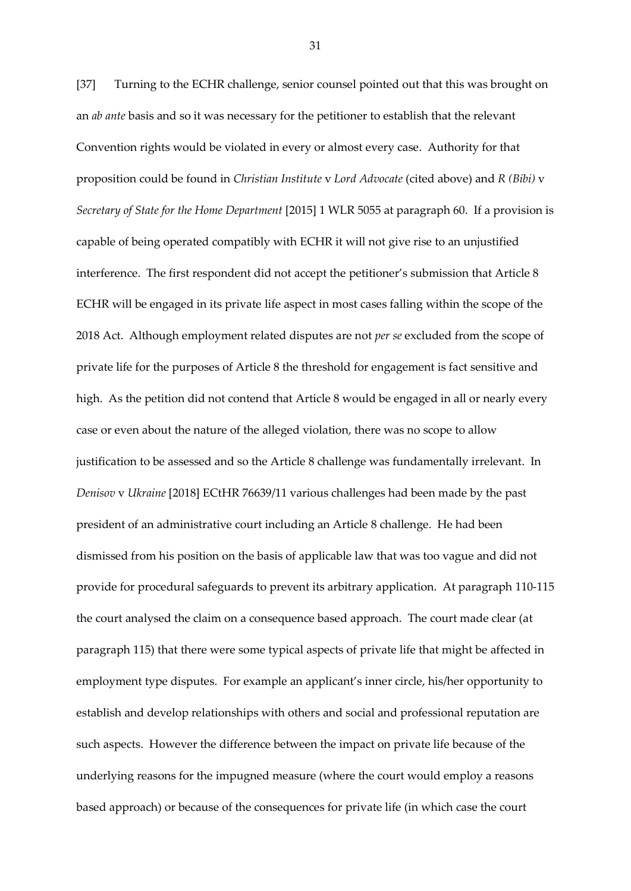[37] Turning to the ECHR challenge, senior counsel pointed out that this was brought on an *ab ante* basis and so it was necessary for the petitioner to establish that the relevant Convention rights would be violated in every or almost every case. Authority for that proposition could be found in *Christian Institute* v *Lord Advocate* (cited above) and *R (Bibi)* v *Secretary of State for the Home Department* [2015] 1 WLR 5055 at paragraph 60. If a provision is capable of being operated compatibly with ECHR it will not give rise to an unjustified interference. The first respondent did not accept the petitioner's submission that Article 8 ECHR will be engaged in its private life aspect in most cases falling within the scope of the 2018 Act. Although employment related disputes are not *per se* excluded from the scope of private life for the purposes of Article 8 the threshold for engagement is fact sensitive and high. As the petition did not contend that Article 8 would be engaged in all or nearly every case or even about the nature of the alleged violation, there was no scope to allow justification to be assessed and so the Article 8 challenge was fundamentally irrelevant. In *Denisov* v *Ukraine* [2018] ECtHR 76639/11 various challenges had been made by the past president of an administrative court including an Article 8 challenge. He had been dismissed from his position on the basis of applicable law that was too vague and did not provide for procedural safeguards to prevent its arbitrary application. At paragraph 110-115 the court analysed the claim on a consequence based approach. The court made clear (at paragraph 115) that there were some typical aspects of private life that might be affected in employment type disputes. For example an applicant's inner circle, his/her opportunity to establish and develop relationships with others and social and professional reputation are such aspects. However the difference between the impact on private life because of the underlying reasons for the impugned measure (where the court would employ a reasons based approach) or because of the consequences for private life (in which case the court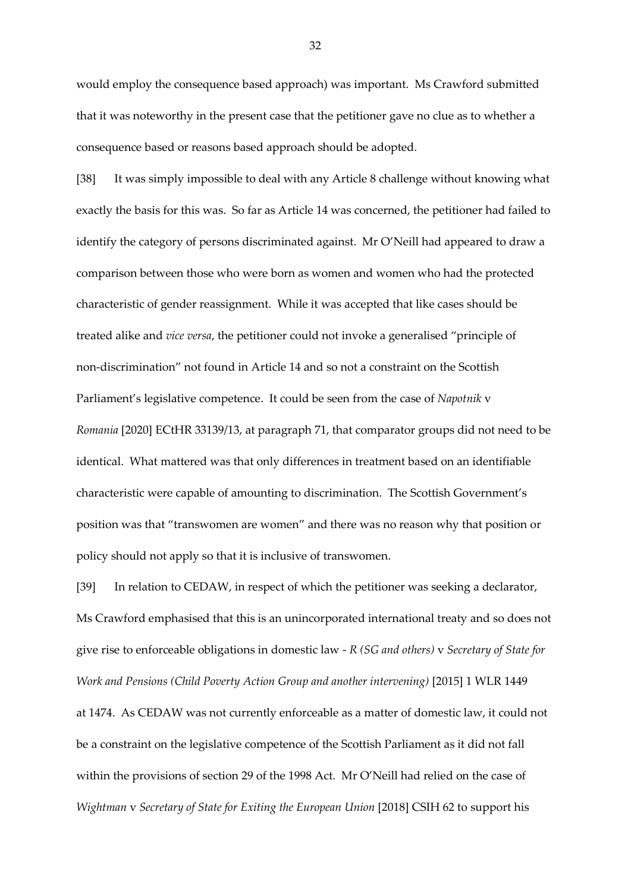would employ the consequence based approach) was important. Ms Crawford submitted that it was noteworthy in the present case that the petitioner gave no clue as to whether a consequence based or reasons based approach should be adopted.

[38] It was simply impossible to deal with any Article 8 challenge without knowing what exactly the basis for this was. So far as Article 14 was concerned, the petitioner had failed to identify the category of persons discriminated against. Mr O'Neill had appeared to draw a comparison between those who were born as women and women who had the protected characteristic of gender reassignment. While it was accepted that like cases should be treated alike and *vice versa*, the petitioner could not invoke a generalised "principle of non-discrimination" not found in Article 14 and so not a constraint on the Scottish Parliament's legislative competence. It could be seen from the case of *Napotnik* v *Romania* [2020] ECtHR 33139/13, at paragraph 71, that comparator groups did not need to be identical. What mattered was that only differences in treatment based on an identifiable characteristic were capable of amounting to discrimination. The Scottish Government's position was that "transwomen are women" and there was no reason why that position or policy should not apply so that it is inclusive of transwomen.

[39] In relation to CEDAW, in respect of which the petitioner was seeking a declarator, Ms Crawford emphasised that this is an unincorporated international treaty and so does not give rise to enforceable obligations in domestic law - *R (SG and others)* v *Secretary of State for Work and Pensions (Child Poverty Action Group and another intervening)* [2015] 1 WLR 1449 at 1474. As CEDAW was not currently enforceable as a matter of domestic law, it could not be a constraint on the legislative competence of the Scottish Parliament as it did not fall within the provisions of section 29 of the 1998 Act. Mr O'Neill had relied on the case of *Wightman* v *Secretary of State for Exiting the European Union* [2018] CSIH 62 to support his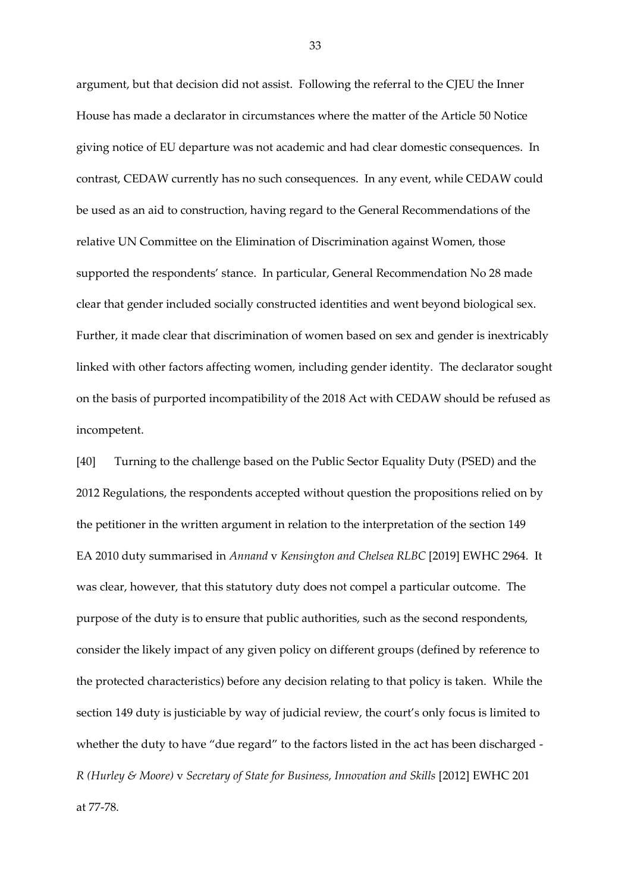argument, but that decision did not assist. Following the referral to the CJEU the Inner House has made a declarator in circumstances where the matter of the Article 50 Notice giving notice of EU departure was not academic and had clear domestic consequences. In contrast, CEDAW currently has no such consequences. In any event, while CEDAW could be used as an aid to construction, having regard to the General Recommendations of the relative UN Committee on the Elimination of Discrimination against Women, those supported the respondents' stance. In particular, General Recommendation No 28 made clear that gender included socially constructed identities and went beyond biological sex. Further, it made clear that discrimination of women based on sex and gender is inextricably linked with other factors affecting women, including gender identity. The declarator sought on the basis of purported incompatibility of the 2018 Act with CEDAW should be refused as incompetent.

[40] Turning to the challenge based on the Public Sector Equality Duty (PSED) and the 2012 Regulations, the respondents accepted without question the propositions relied on by the petitioner in the written argument in relation to the interpretation of the section 149 EA 2010 duty summarised in *Annand* v *Kensington and Chelsea RLBC* [2019] EWHC 2964*.* It was clear, however, that this statutory duty does not compel a particular outcome. The purpose of the duty is to ensure that public authorities, such as the second respondents, consider the likely impact of any given policy on different groups (defined by reference to the protected characteristics) before any decision relating to that policy is taken. While the section 149 duty is justiciable by way of judicial review, the court's only focus is limited to whether the duty to have "due regard" to the factors listed in the act has been discharged - *R (Hurley & Moore)* v *Secretary of State for Business, Innovation and Skills* [2012] EWHC 201 at 77-78.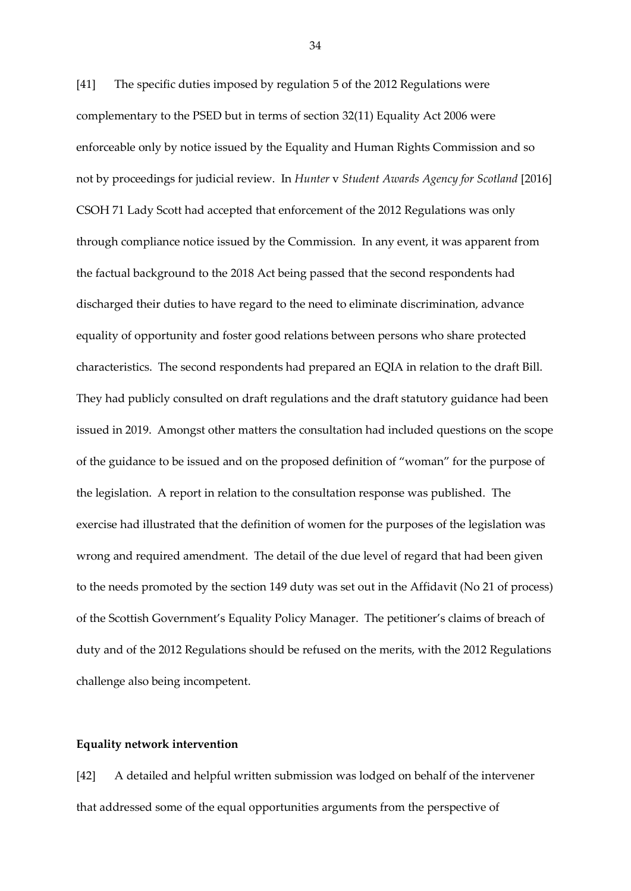[41] The specific duties imposed by regulation 5 of the 2012 Regulations were complementary to the PSED but in terms of section 32(11) Equality Act 2006 were enforceable only by notice issued by the Equality and Human Rights Commission and so not by proceedings for judicial review. In *Hunter* v *Student Awards Agency for Scotland* [2016] CSOH 71 Lady Scott had accepted that enforcement of the 2012 Regulations was only through compliance notice issued by the Commission. In any event, it was apparent from the factual background to the 2018 Act being passed that the second respondents had discharged their duties to have regard to the need to eliminate discrimination, advance equality of opportunity and foster good relations between persons who share protected characteristics. The second respondents had prepared an EQIA in relation to the draft Bill. They had publicly consulted on draft regulations and the draft statutory guidance had been issued in 2019. Amongst other matters the consultation had included questions on the scope of the guidance to be issued and on the proposed definition of "woman" for the purpose of the legislation. A report in relation to the consultation response was published. The exercise had illustrated that the definition of women for the purposes of the legislation was wrong and required amendment. The detail of the due level of regard that had been given to the needs promoted by the section 149 duty was set out in the Affidavit (No 21 of process) of the Scottish Government's Equality Policy Manager. The petitioner's claims of breach of duty and of the 2012 Regulations should be refused on the merits, with the 2012 Regulations challenge also being incompetent.

## **Equality network intervention**

[42] A detailed and helpful written submission was lodged on behalf of the intervener that addressed some of the equal opportunities arguments from the perspective of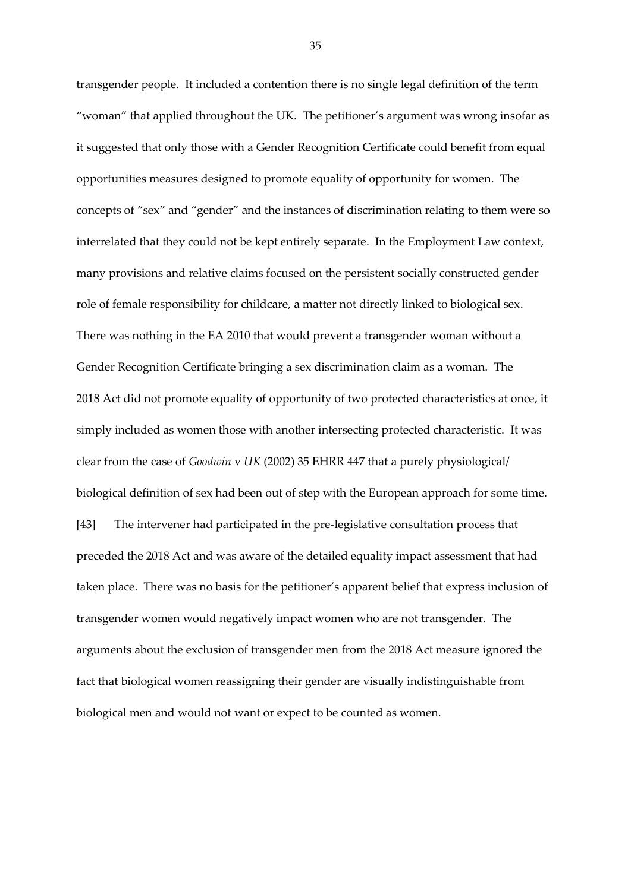transgender people. It included a contention there is no single legal definition of the term "woman" that applied throughout the UK. The petitioner's argument was wrong insofar as it suggested that only those with a Gender Recognition Certificate could benefit from equal opportunities measures designed to promote equality of opportunity for women. The concepts of "sex" and "gender" and the instances of discrimination relating to them were so interrelated that they could not be kept entirely separate. In the Employment Law context, many provisions and relative claims focused on the persistent socially constructed gender role of female responsibility for childcare, a matter not directly linked to biological sex. There was nothing in the EA 2010 that would prevent a transgender woman without a Gender Recognition Certificate bringing a sex discrimination claim as a woman. The 2018 Act did not promote equality of opportunity of two protected characteristics at once, it simply included as women those with another intersecting protected characteristic. It was clear from the case of *Goodwin* v *UK* (2002) 35 EHRR 447 that a purely physiological/ biological definition of sex had been out of step with the European approach for some time. [43] The intervener had participated in the pre-legislative consultation process that preceded the 2018 Act and was aware of the detailed equality impact assessment that had taken place. There was no basis for the petitioner's apparent belief that express inclusion of transgender women would negatively impact women who are not transgender. The arguments about the exclusion of transgender men from the 2018 Act measure ignored the fact that biological women reassigning their gender are visually indistinguishable from biological men and would not want or expect to be counted as women.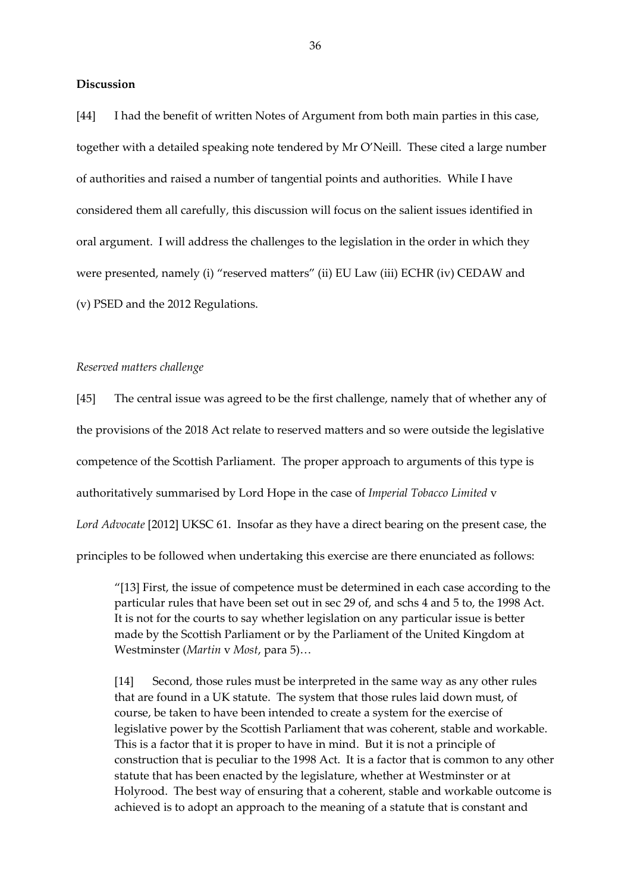### **Discussion**

[44] I had the benefit of written Notes of Argument from both main parties in this case, together with a detailed speaking note tendered by Mr O'Neill. These cited a large number of authorities and raised a number of tangential points and authorities. While I have considered them all carefully, this discussion will focus on the salient issues identified in oral argument. I will address the challenges to the legislation in the order in which they were presented, namely (i) "reserved matters" (ii) EU Law (iii) ECHR (iv) CEDAW and (v) PSED and the 2012 Regulations.

#### *Reserved matters challenge*

[45] The central issue was agreed to be the first challenge, namely that of whether any of the provisions of the 2018 Act relate to reserved matters and so were outside the legislative competence of the Scottish Parliament. The proper approach to arguments of this type is authoritatively summarised by Lord Hope in the case of *Imperial Tobacco Limited* v *Lord Advocate* [2012] UKSC 61. Insofar as they have a direct bearing on the present case, the principles to be followed when undertaking this exercise are there enunciated as follows:

"[13] First, the issue of competence must be determined in each case according to the particular rules that have been set out in sec 29 of, and schs 4 and 5 to, the 1998 Act. It is not for the courts to say whether legislation on any particular issue is better made by the Scottish Parliament or by the Parliament of the United Kingdom at Westminster (*Martin* v *Most*, para 5)…

[14] Second, those rules must be interpreted in the same way as any other rules that are found in a UK statute. The system that those rules laid down must, of course, be taken to have been intended to create a system for the exercise of legislative power by the Scottish Parliament that was coherent, stable and workable. This is a factor that it is proper to have in mind. But it is not a principle of construction that is peculiar to the 1998 Act. It is a factor that is common to any other statute that has been enacted by the legislature, whether at Westminster or at Holyrood. The best way of ensuring that a coherent, stable and workable outcome is achieved is to adopt an approach to the meaning of a statute that is constant and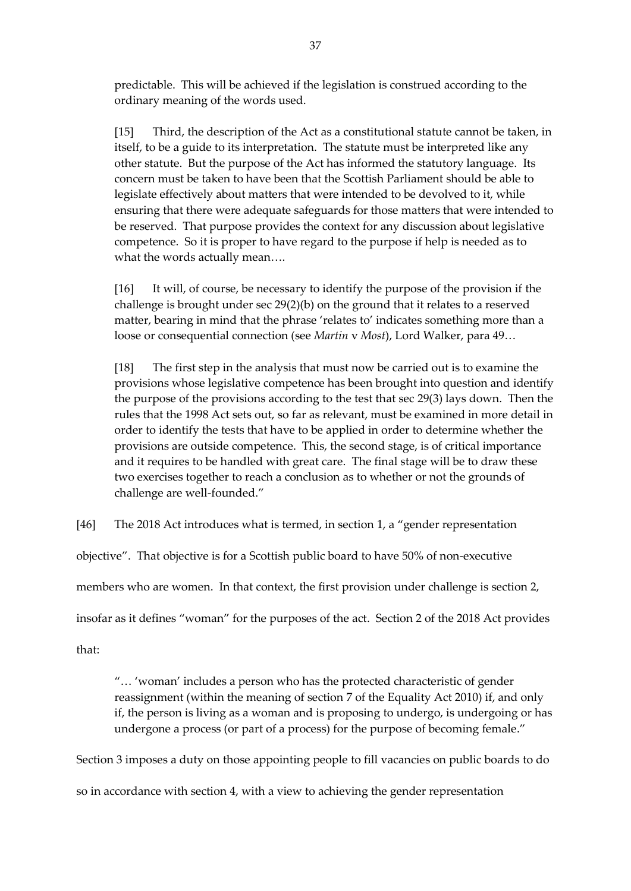predictable. This will be achieved if the legislation is construed according to the ordinary meaning of the words used.

[15] Third, the description of the Act as a constitutional statute cannot be taken, in itself, to be a guide to its interpretation. The statute must be interpreted like any other statute. But the purpose of the Act has informed the statutory language. Its concern must be taken to have been that the Scottish Parliament should be able to legislate effectively about matters that were intended to be devolved to it, while ensuring that there were adequate safeguards for those matters that were intended to be reserved. That purpose provides the context for any discussion about legislative competence. So it is proper to have regard to the purpose if help is needed as to what the words actually mean….

[16] It will, of course, be necessary to identify the purpose of the provision if the challenge is brought under sec 29(2)(b) on the ground that it relates to a reserved matter, bearing in mind that the phrase 'relates to' indicates something more than a loose or consequential connection (see *Martin* v *Most*), Lord Walker, para 49…

[18] The first step in the analysis that must now be carried out is to examine the provisions whose legislative competence has been brought into question and identify the purpose of the provisions according to the test that sec 29(3) lays down. Then the rules that the 1998 Act sets out, so far as relevant, must be examined in more detail in order to identify the tests that have to be applied in order to determine whether the provisions are outside competence. This, the second stage, is of critical importance and it requires to be handled with great care. The final stage will be to draw these two exercises together to reach a conclusion as to whether or not the grounds of challenge are well-founded."

[46] The 2018 Act introduces what is termed, in section 1, a "gender representation

objective". That objective is for a Scottish public board to have 50% of non-executive

members who are women. In that context, the first provision under challenge is section 2,

insofar as it defines "woman" for the purposes of the act. Section 2 of the 2018 Act provides

that:

"… 'woman' includes a person who has the protected characteristic of gender reassignment (within the meaning of section 7 of the Equality Act 2010) if, and only if, the person is living as a woman and is proposing to undergo, is undergoing or has undergone a process (or part of a process) for the purpose of becoming female."

Section 3 imposes a duty on those appointing people to fill vacancies on public boards to do so in accordance with section 4, with a view to achieving the gender representation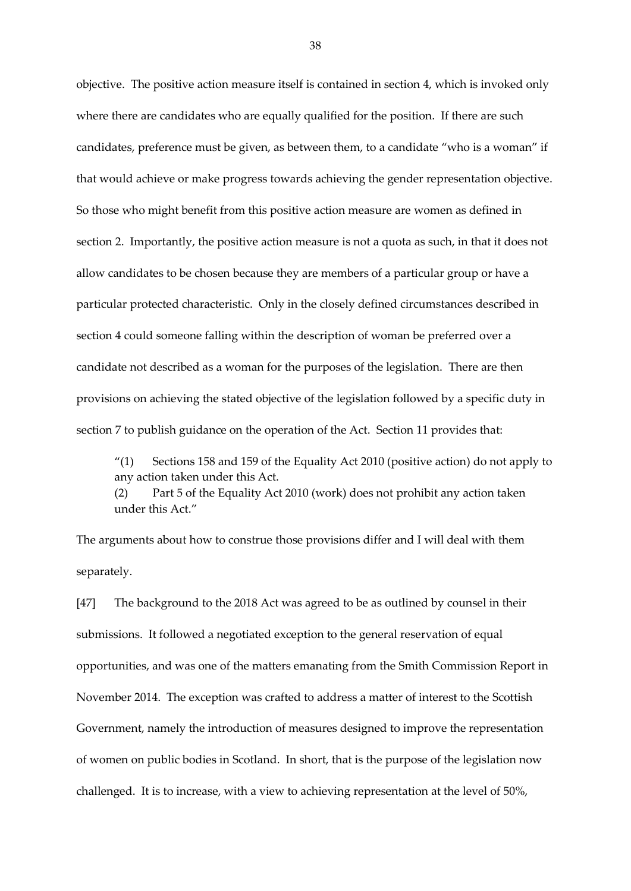objective. The positive action measure itself is contained in section 4, which is invoked only where there are candidates who are equally qualified for the position. If there are such candidates, preference must be given, as between them, to a candidate "who is a woman" if that would achieve or make progress towards achieving the gender representation objective. So those who might benefit from this positive action measure are women as defined in section 2. Importantly, the positive action measure is not a quota as such, in that it does not allow candidates to be chosen because they are members of a particular group or have a particular protected characteristic. Only in the closely defined circumstances described in section 4 could someone falling within the description of woman be preferred over a candidate not described as a woman for the purposes of the legislation. There are then provisions on achieving the stated objective of the legislation followed by a specific duty in section 7 to publish guidance on the operation of the Act. Section 11 provides that:

"(1) Sections 158 and 159 of the Equality Act 2010 (positive action) do not apply to any action taken under this Act.

(2) Part 5 of the Equality Act 2010 (work) does not prohibit any action taken under this Act."

The arguments about how to construe those provisions differ and I will deal with them separately.

[47] The background to the 2018 Act was agreed to be as outlined by counsel in their submissions. It followed a negotiated exception to the general reservation of equal opportunities, and was one of the matters emanating from the Smith Commission Report in November 2014. The exception was crafted to address a matter of interest to the Scottish Government, namely the introduction of measures designed to improve the representation of women on public bodies in Scotland. In short, that is the purpose of the legislation now challenged. It is to increase, with a view to achieving representation at the level of 50%,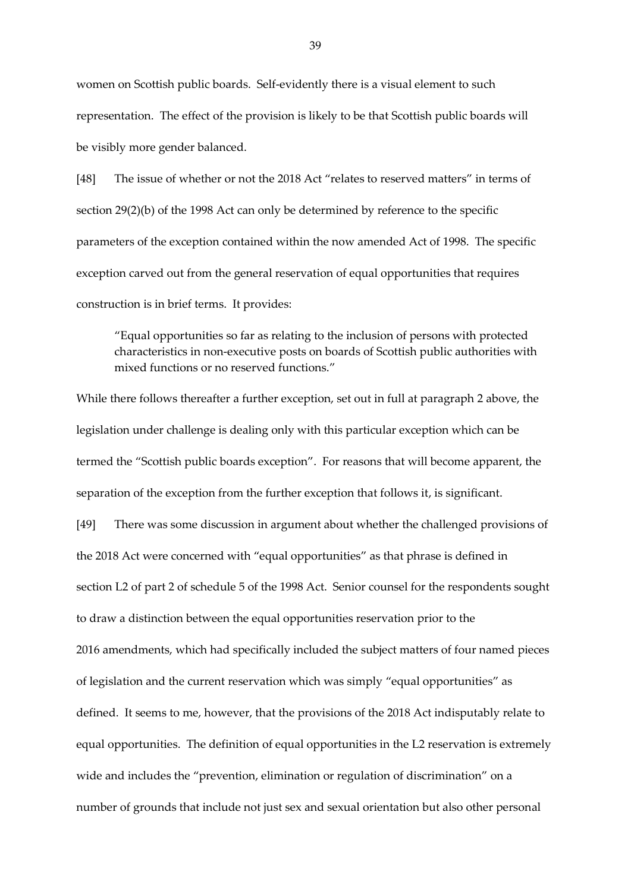women on Scottish public boards. Self-evidently there is a visual element to such representation. The effect of the provision is likely to be that Scottish public boards will be visibly more gender balanced.

[48] The issue of whether or not the 2018 Act "relates to reserved matters" in terms of section 29(2)(b) of the 1998 Act can only be determined by reference to the specific parameters of the exception contained within the now amended Act of 1998. The specific exception carved out from the general reservation of equal opportunities that requires construction is in brief terms. It provides:

"Equal opportunities so far as relating to the inclusion of persons with protected characteristics in non-executive posts on boards of Scottish public authorities with mixed functions or no reserved functions."

While there follows thereafter a further exception, set out in full at paragraph 2 above, the legislation under challenge is dealing only with this particular exception which can be termed the "Scottish public boards exception". For reasons that will become apparent, the separation of the exception from the further exception that follows it, is significant.

[49] There was some discussion in argument about whether the challenged provisions of the 2018 Act were concerned with "equal opportunities" as that phrase is defined in section L2 of part 2 of schedule 5 of the 1998 Act. Senior counsel for the respondents sought to draw a distinction between the equal opportunities reservation prior to the 2016 amendments, which had specifically included the subject matters of four named pieces of legislation and the current reservation which was simply "equal opportunities" as defined. It seems to me, however, that the provisions of the 2018 Act indisputably relate to equal opportunities. The definition of equal opportunities in the L2 reservation is extremely wide and includes the "prevention, elimination or regulation of discrimination" on a number of grounds that include not just sex and sexual orientation but also other personal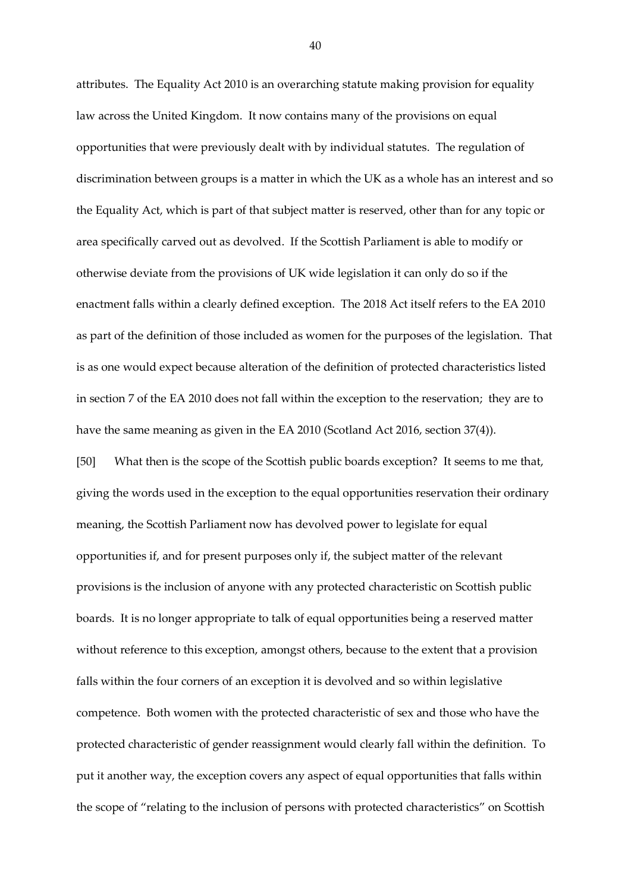attributes. The Equality Act 2010 is an overarching statute making provision for equality law across the United Kingdom. It now contains many of the provisions on equal opportunities that were previously dealt with by individual statutes. The regulation of discrimination between groups is a matter in which the UK as a whole has an interest and so the Equality Act, which is part of that subject matter is reserved, other than for any topic or area specifically carved out as devolved. If the Scottish Parliament is able to modify or otherwise deviate from the provisions of UK wide legislation it can only do so if the enactment falls within a clearly defined exception. The 2018 Act itself refers to the EA 2010 as part of the definition of those included as women for the purposes of the legislation. That is as one would expect because alteration of the definition of protected characteristics listed in section 7 of the EA 2010 does not fall within the exception to the reservation; they are to have the same meaning as given in the EA 2010 (Scotland Act 2016, section 37(4)).

[50] What then is the scope of the Scottish public boards exception?It seems to me that, giving the words used in the exception to the equal opportunities reservation their ordinary meaning, the Scottish Parliament now has devolved power to legislate for equal opportunities if, and for present purposes only if, the subject matter of the relevant provisions is the inclusion of anyone with any protected characteristic on Scottish public boards. It is no longer appropriate to talk of equal opportunities being a reserved matter without reference to this exception, amongst others, because to the extent that a provision falls within the four corners of an exception it is devolved and so within legislative competence. Both women with the protected characteristic of sex and those who have the protected characteristic of gender reassignment would clearly fall within the definition. To put it another way, the exception covers any aspect of equal opportunities that falls within the scope of "relating to the inclusion of persons with protected characteristics" on Scottish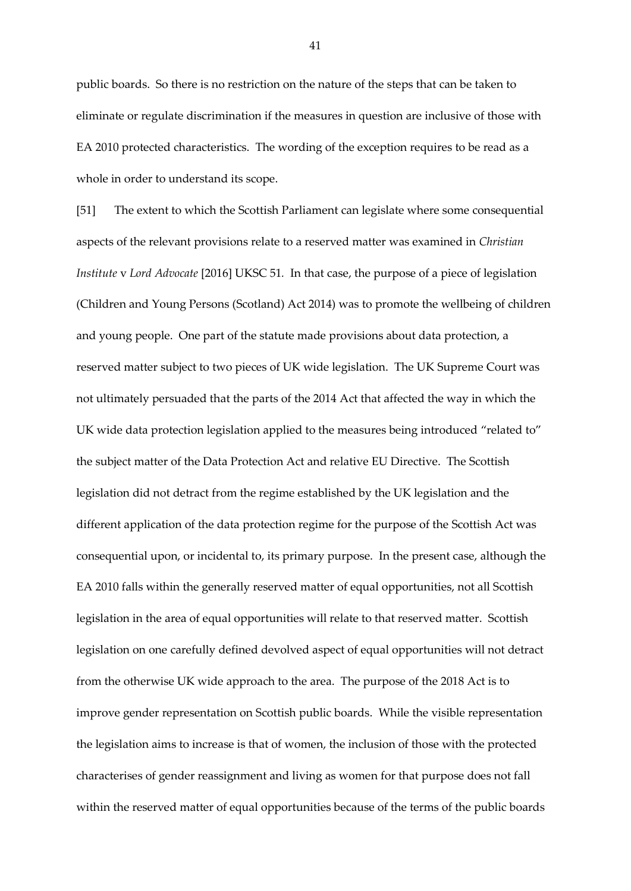public boards. So there is no restriction on the nature of the steps that can be taken to eliminate or regulate discrimination if the measures in question are inclusive of those with EA 2010 protected characteristics. The wording of the exception requires to be read as a whole in order to understand its scope.

[51] The extent to which the Scottish Parliament can legislate where some consequential aspects of the relevant provisions relate to a reserved matter was examined in *Christian Institute* v *Lord Advocate* [2016] UKSC 51*.* In that case, the purpose of a piece of legislation (Children and Young Persons (Scotland) Act 2014) was to promote the wellbeing of children and young people. One part of the statute made provisions about data protection, a reserved matter subject to two pieces of UK wide legislation. The UK Supreme Court was not ultimately persuaded that the parts of the 2014 Act that affected the way in which the UK wide data protection legislation applied to the measures being introduced "related to" the subject matter of the Data Protection Act and relative EU Directive. The Scottish legislation did not detract from the regime established by the UK legislation and the different application of the data protection regime for the purpose of the Scottish Act was consequential upon, or incidental to, its primary purpose. In the present case, although the EA 2010 falls within the generally reserved matter of equal opportunities, not all Scottish legislation in the area of equal opportunities will relate to that reserved matter. Scottish legislation on one carefully defined devolved aspect of equal opportunities will not detract from the otherwise UK wide approach to the area. The purpose of the 2018 Act is to improve gender representation on Scottish public boards. While the visible representation the legislation aims to increase is that of women, the inclusion of those with the protected characterises of gender reassignment and living as women for that purpose does not fall within the reserved matter of equal opportunities because of the terms of the public boards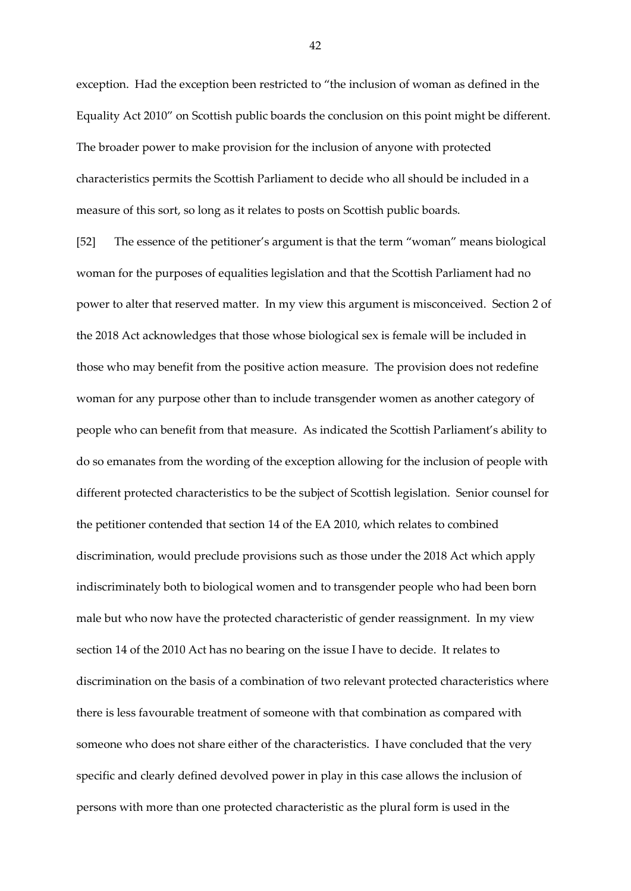exception. Had the exception been restricted to "the inclusion of woman as defined in the Equality Act 2010" on Scottish public boards the conclusion on this point might be different. The broader power to make provision for the inclusion of anyone with protected characteristics permits the Scottish Parliament to decide who all should be included in a measure of this sort, so long as it relates to posts on Scottish public boards.

[52] The essence of the petitioner's argument is that the term "woman" means biological woman for the purposes of equalities legislation and that the Scottish Parliament had no power to alter that reserved matter. In my view this argument is misconceived. Section 2 of the 2018 Act acknowledges that those whose biological sex is female will be included in those who may benefit from the positive action measure. The provision does not redefine woman for any purpose other than to include transgender women as another category of people who can benefit from that measure. As indicated the Scottish Parliament's ability to do so emanates from the wording of the exception allowing for the inclusion of people with different protected characteristics to be the subject of Scottish legislation. Senior counsel for the petitioner contended that section 14 of the EA 2010, which relates to combined discrimination, would preclude provisions such as those under the 2018 Act which apply indiscriminately both to biological women and to transgender people who had been born male but who now have the protected characteristic of gender reassignment. In my view section 14 of the 2010 Act has no bearing on the issue I have to decide. It relates to discrimination on the basis of a combination of two relevant protected characteristics where there is less favourable treatment of someone with that combination as compared with someone who does not share either of the characteristics. I have concluded that the very specific and clearly defined devolved power in play in this case allows the inclusion of persons with more than one protected characteristic as the plural form is used in the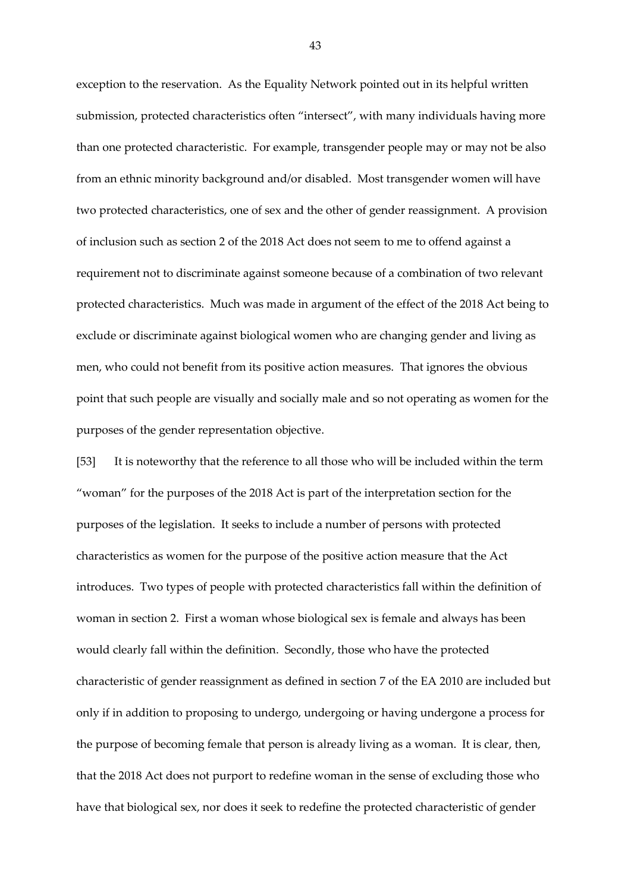exception to the reservation. As the Equality Network pointed out in its helpful written submission, protected characteristics often "intersect", with many individuals having more than one protected characteristic. For example, transgender people may or may not be also from an ethnic minority background and/or disabled. Most transgender women will have two protected characteristics, one of sex and the other of gender reassignment. A provision of inclusion such as section 2 of the 2018 Act does not seem to me to offend against a requirement not to discriminate against someone because of a combination of two relevant protected characteristics. Much was made in argument of the effect of the 2018 Act being to exclude or discriminate against biological women who are changing gender and living as men, who could not benefit from its positive action measures. That ignores the obvious point that such people are visually and socially male and so not operating as women for the purposes of the gender representation objective.

[53] It is noteworthy that the reference to all those who will be included within the term "woman" for the purposes of the 2018 Act is part of the interpretation section for the purposes of the legislation. It seeks to include a number of persons with protected characteristics as women for the purpose of the positive action measure that the Act introduces. Two types of people with protected characteristics fall within the definition of woman in section 2. First a woman whose biological sex is female and always has been would clearly fall within the definition. Secondly, those who have the protected characteristic of gender reassignment as defined in section 7 of the EA 2010 are included but only if in addition to proposing to undergo, undergoing or having undergone a process for the purpose of becoming female that person is already living as a woman. It is clear, then, that the 2018 Act does not purport to redefine woman in the sense of excluding those who have that biological sex, nor does it seek to redefine the protected characteristic of gender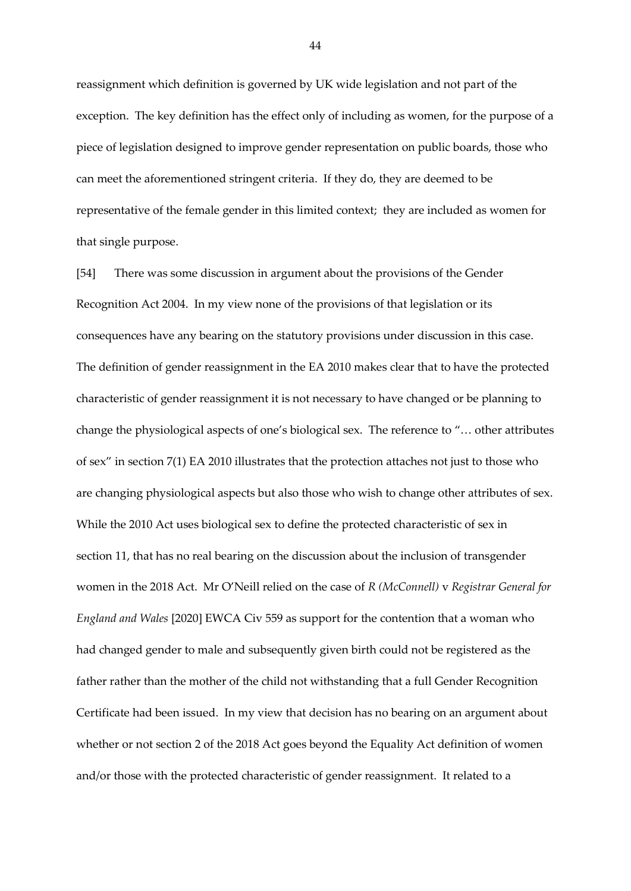reassignment which definition is governed by UK wide legislation and not part of the exception. The key definition has the effect only of including as women, for the purpose of a piece of legislation designed to improve gender representation on public boards, those who can meet the aforementioned stringent criteria. If they do, they are deemed to be representative of the female gender in this limited context; they are included as women for that single purpose.

[54] There was some discussion in argument about the provisions of the Gender Recognition Act 2004. In my view none of the provisions of that legislation or its consequences have any bearing on the statutory provisions under discussion in this case. The definition of gender reassignment in the EA 2010 makes clear that to have the protected characteristic of gender reassignment it is not necessary to have changed or be planning to change the physiological aspects of one's biological sex. The reference to "… other attributes of sex" in section 7(1) EA 2010 illustrates that the protection attaches not just to those who are changing physiological aspects but also those who wish to change other attributes of sex. While the 2010 Act uses biological sex to define the protected characteristic of sex in section 11, that has no real bearing on the discussion about the inclusion of transgender women in the 2018 Act. Mr O'Neill relied on the case of *R (McConnell)* v *Registrar General for England and Wales* [2020] EWCA Civ 559 as support for the contention that a woman who had changed gender to male and subsequently given birth could not be registered as the father rather than the mother of the child not withstanding that a full Gender Recognition Certificate had been issued. In my view that decision has no bearing on an argument about whether or not section 2 of the 2018 Act goes beyond the Equality Act definition of women and/or those with the protected characteristic of gender reassignment. It related to a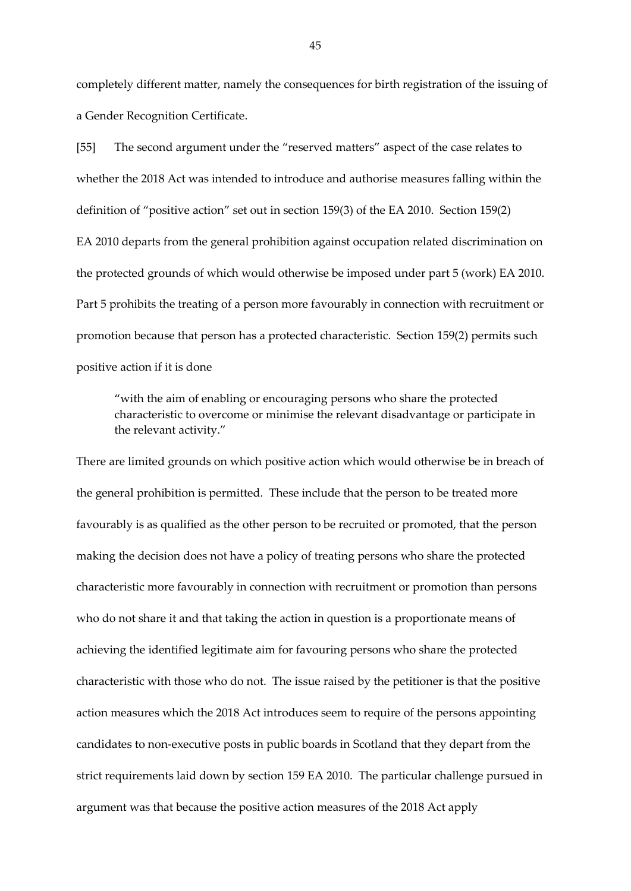completely different matter, namely the consequences for birth registration of the issuing of a Gender Recognition Certificate.

[55] The second argument under the "reserved matters" aspect of the case relates to whether the 2018 Act was intended to introduce and authorise measures falling within the definition of "positive action" set out in section 159(3) of the EA 2010. Section 159(2) EA 2010 departs from the general prohibition against occupation related discrimination on the protected grounds of which would otherwise be imposed under part 5 (work) EA 2010. Part 5 prohibits the treating of a person more favourably in connection with recruitment or promotion because that person has a protected characteristic. Section 159(2) permits such positive action if it is done

"with the aim of enabling or encouraging persons who share the protected characteristic to overcome or minimise the relevant disadvantage or participate in the relevant activity."

There are limited grounds on which positive action which would otherwise be in breach of the general prohibition is permitted. These include that the person to be treated more favourably is as qualified as the other person to be recruited or promoted, that the person making the decision does not have a policy of treating persons who share the protected characteristic more favourably in connection with recruitment or promotion than persons who do not share it and that taking the action in question is a proportionate means of achieving the identified legitimate aim for favouring persons who share the protected characteristic with those who do not. The issue raised by the petitioner is that the positive action measures which the 2018 Act introduces seem to require of the persons appointing candidates to non-executive posts in public boards in Scotland that they depart from the strict requirements laid down by section 159 EA 2010. The particular challenge pursued in argument was that because the positive action measures of the 2018 Act apply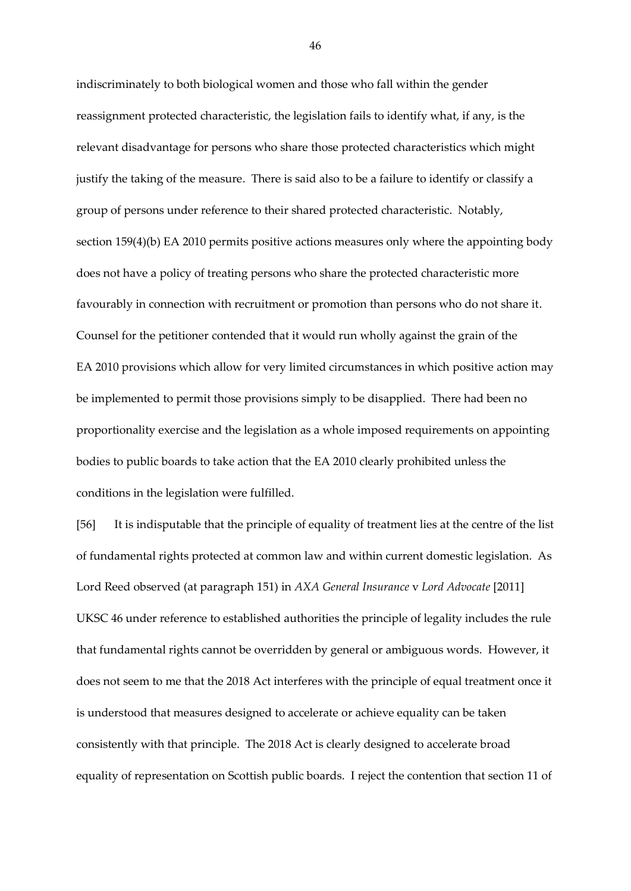indiscriminately to both biological women and those who fall within the gender reassignment protected characteristic, the legislation fails to identify what, if any, is the relevant disadvantage for persons who share those protected characteristics which might justify the taking of the measure. There is said also to be a failure to identify or classify a group of persons under reference to their shared protected characteristic. Notably, section 159(4)(b) EA 2010 permits positive actions measures only where the appointing body does not have a policy of treating persons who share the protected characteristic more favourably in connection with recruitment or promotion than persons who do not share it. Counsel for the petitioner contended that it would run wholly against the grain of the EA 2010 provisions which allow for very limited circumstances in which positive action may be implemented to permit those provisions simply to be disapplied. There had been no proportionality exercise and the legislation as a whole imposed requirements on appointing bodies to public boards to take action that the EA 2010 clearly prohibited unless the conditions in the legislation were fulfilled.

[56] It is indisputable that the principle of equality of treatment lies at the centre of the list of fundamental rights protected at common law and within current domestic legislation. As Lord Reed observed (at paragraph 151) in *AXA General Insurance* v *Lord Advocate* [2011] UKSC 46 under reference to established authorities the principle of legality includes the rule that fundamental rights cannot be overridden by general or ambiguous words. However, it does not seem to me that the 2018 Act interferes with the principle of equal treatment once it is understood that measures designed to accelerate or achieve equality can be taken consistently with that principle. The 2018 Act is clearly designed to accelerate broad equality of representation on Scottish public boards. I reject the contention that section 11 of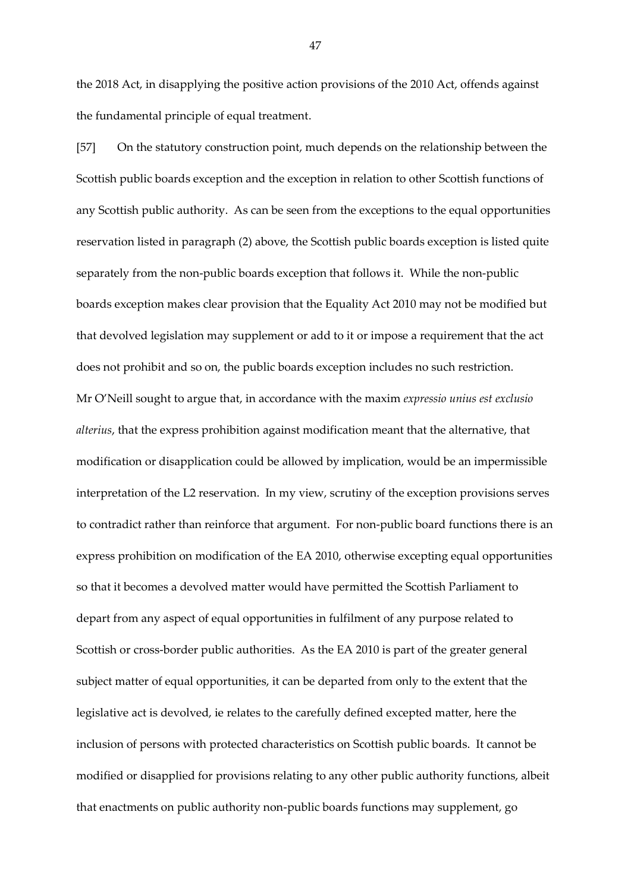the 2018 Act, in disapplying the positive action provisions of the 2010 Act, offends against the fundamental principle of equal treatment.

[57] On the statutory construction point, much depends on the relationship between the Scottish public boards exception and the exception in relation to other Scottish functions of any Scottish public authority. As can be seen from the exceptions to the equal opportunities reservation listed in paragraph (2) above, the Scottish public boards exception is listed quite separately from the non-public boards exception that follows it. While the non-public boards exception makes clear provision that the Equality Act 2010 may not be modified but that devolved legislation may supplement or add to it or impose a requirement that the act does not prohibit and so on, the public boards exception includes no such restriction. Mr O'Neill sought to argue that, in accordance with the maxim *expressio unius est exclusio alterius*, that the express prohibition against modification meant that the alternative, that modification or disapplication could be allowed by implication, would be an impermissible interpretation of the L2 reservation. In my view, scrutiny of the exception provisions serves to contradict rather than reinforce that argument. For non-public board functions there is an express prohibition on modification of the EA 2010, otherwise excepting equal opportunities so that it becomes a devolved matter would have permitted the Scottish Parliament to depart from any aspect of equal opportunities in fulfilment of any purpose related to Scottish or cross-border public authorities. As the EA 2010 is part of the greater general subject matter of equal opportunities, it can be departed from only to the extent that the legislative act is devolved, ie relates to the carefully defined excepted matter, here the inclusion of persons with protected characteristics on Scottish public boards. It cannot be modified or disapplied for provisions relating to any other public authority functions, albeit that enactments on public authority non-public boards functions may supplement, go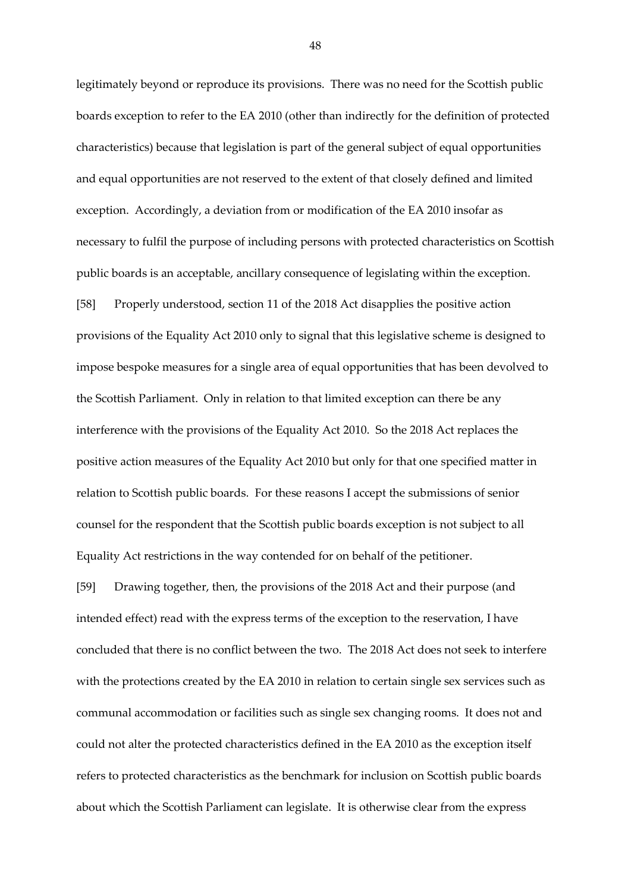legitimately beyond or reproduce its provisions. There was no need for the Scottish public boards exception to refer to the EA 2010 (other than indirectly for the definition of protected characteristics) because that legislation is part of the general subject of equal opportunities and equal opportunities are not reserved to the extent of that closely defined and limited exception. Accordingly, a deviation from or modification of the EA 2010 insofar as necessary to fulfil the purpose of including persons with protected characteristics on Scottish public boards is an acceptable, ancillary consequence of legislating within the exception. [58] Properly understood, section 11 of the 2018 Act disapplies the positive action provisions of the Equality Act 2010 only to signal that this legislative scheme is designed to impose bespoke measures for a single area of equal opportunities that has been devolved to the Scottish Parliament. Only in relation to that limited exception can there be any interference with the provisions of the Equality Act 2010. So the 2018 Act replaces the positive action measures of the Equality Act 2010 but only for that one specified matter in relation to Scottish public boards. For these reasons I accept the submissions of senior counsel for the respondent that the Scottish public boards exception is not subject to all Equality Act restrictions in the way contended for on behalf of the petitioner.

[59] Drawing together, then, the provisions of the 2018 Act and their purpose (and intended effect) read with the express terms of the exception to the reservation, I have concluded that there is no conflict between the two. The 2018 Act does not seek to interfere with the protections created by the EA 2010 in relation to certain single sex services such as communal accommodation or facilities such as single sex changing rooms. It does not and could not alter the protected characteristics defined in the EA 2010 as the exception itself refers to protected characteristics as the benchmark for inclusion on Scottish public boards about which the Scottish Parliament can legislate. It is otherwise clear from the express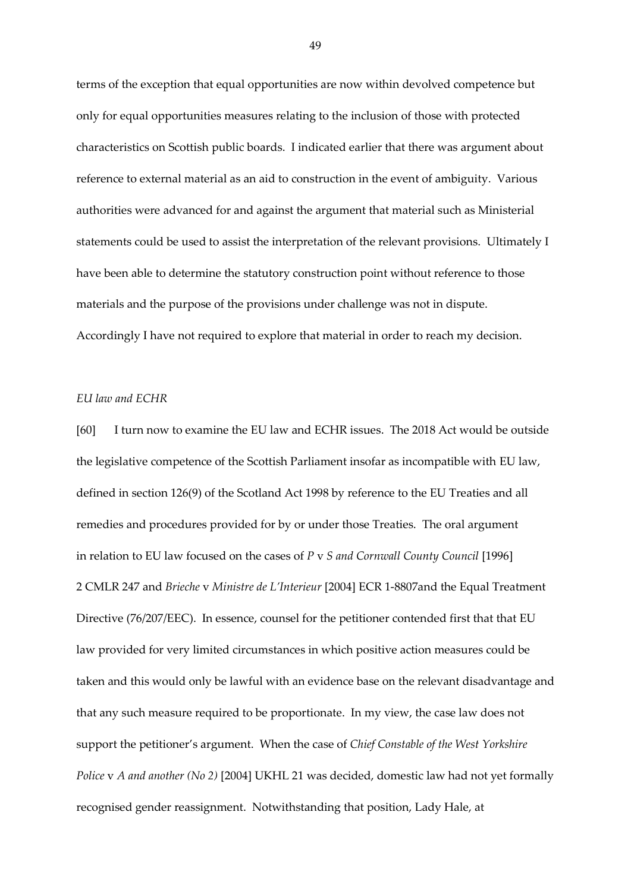terms of the exception that equal opportunities are now within devolved competence but only for equal opportunities measures relating to the inclusion of those with protected characteristics on Scottish public boards. I indicated earlier that there was argument about reference to external material as an aid to construction in the event of ambiguity. Various authorities were advanced for and against the argument that material such as Ministerial statements could be used to assist the interpretation of the relevant provisions. Ultimately I have been able to determine the statutory construction point without reference to those materials and the purpose of the provisions under challenge was not in dispute. Accordingly I have not required to explore that material in order to reach my decision.

#### *EU law and ECHR*

[60] I turn now to examine the EU law and ECHR issues. The 2018 Act would be outside the legislative competence of the Scottish Parliament insofar as incompatible with EU law, defined in section 126(9) of the Scotland Act 1998 by reference to the EU Treaties and all remedies and procedures provided for by or under those Treaties. The oral argument in relation to EU law focused on the cases of *P* v *S and Cornwall County Council* [1996] 2 CMLR 247 and *Brieche* v *Ministre de L'Interieur* [2004] ECR 1-8807and the Equal Treatment Directive (76/207/EEC). In essence, counsel for the petitioner contended first that that EU law provided for very limited circumstances in which positive action measures could be taken and this would only be lawful with an evidence base on the relevant disadvantage and that any such measure required to be proportionate. In my view, the case law does not support the petitioner's argument. When the case of *Chief Constable of the West Yorkshire Police* v *A and another (No 2)* [2004] UKHL 21 was decided, domestic law had not yet formally recognised gender reassignment. Notwithstanding that position, Lady Hale, at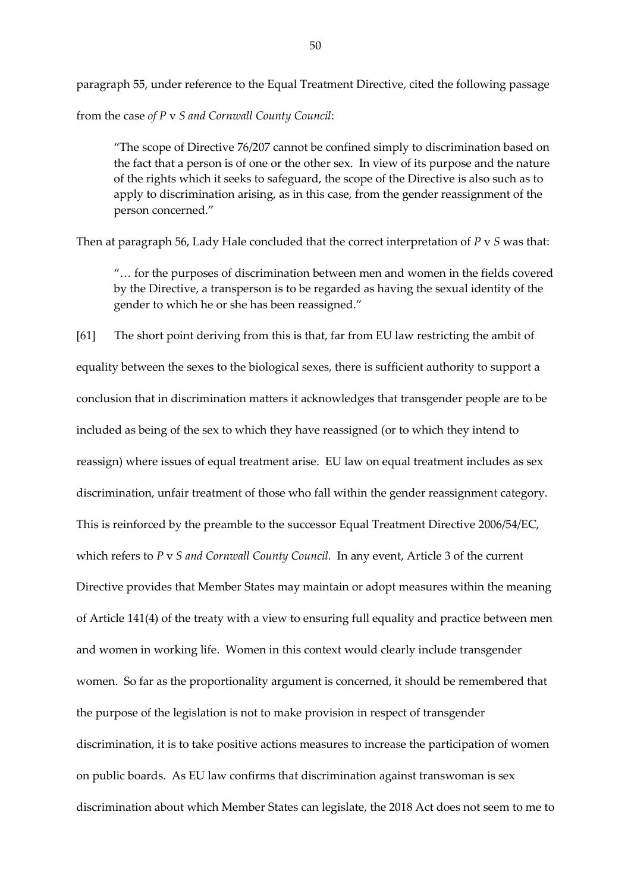paragraph 55, under reference to the Equal Treatment Directive, cited the following passage from the case *of P* v *S and Cornwall County Council*:

"The scope of Directive 76/207 cannot be confined simply to discrimination based on the fact that a person is of one or the other sex. In view of its purpose and the nature of the rights which it seeks to safeguard, the scope of the Directive is also such as to apply to discrimination arising, as in this case, from the gender reassignment of the person concerned."

Then at paragraph 56, Lady Hale concluded that the correct interpretation of *P* v *S* was that:

"… for the purposes of discrimination between men and women in the fields covered by the Directive, a transperson is to be regarded as having the sexual identity of the gender to which he or she has been reassigned."

[61] The short point deriving from this is that, far from EU law restricting the ambit of equality between the sexes to the biological sexes, there is sufficient authority to support a conclusion that in discrimination matters it acknowledges that transgender people are to be included as being of the sex to which they have reassigned (or to which they intend to reassign) where issues of equal treatment arise. EU law on equal treatment includes as sex discrimination, unfair treatment of those who fall within the gender reassignment category. This is reinforced by the preamble to the successor Equal Treatment Directive 2006/54/EC, which refers to *P* v *S and Cornwall County Council.* In any event, Article 3 of the current Directive provides that Member States may maintain or adopt measures within the meaning of Article 141(4) of the treaty with a view to ensuring full equality and practice between men and women in working life. Women in this context would clearly include transgender women. So far as the proportionality argument is concerned, it should be remembered that the purpose of the legislation is not to make provision in respect of transgender discrimination, it is to take positive actions measures to increase the participation of women on public boards. As EU law confirms that discrimination against transwoman is sex discrimination about which Member States can legislate, the 2018 Act does not seem to me to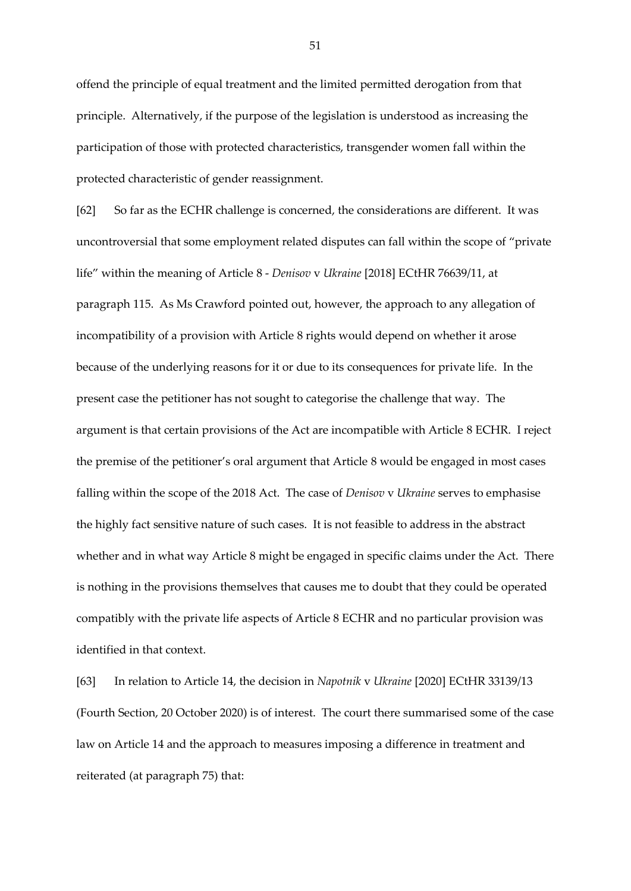offend the principle of equal treatment and the limited permitted derogation from that principle. Alternatively, if the purpose of the legislation is understood as increasing the participation of those with protected characteristics, transgender women fall within the protected characteristic of gender reassignment.

[62] So far as the ECHR challenge is concerned, the considerations are different. It was uncontroversial that some employment related disputes can fall within the scope of "private life" within the meaning of Article 8 - *Denisov* v *Ukraine* [2018] ECtHR 76639/11, at paragraph 115. As Ms Crawford pointed out, however, the approach to any allegation of incompatibility of a provision with Article 8 rights would depend on whether it arose because of the underlying reasons for it or due to its consequences for private life. In the present case the petitioner has not sought to categorise the challenge that way. The argument is that certain provisions of the Act are incompatible with Article 8 ECHR. I reject the premise of the petitioner's oral argument that Article 8 would be engaged in most cases falling within the scope of the 2018 Act. The case of *Denisov* v *Ukraine* serves to emphasise the highly fact sensitive nature of such cases. It is not feasible to address in the abstract whether and in what way Article 8 might be engaged in specific claims under the Act. There is nothing in the provisions themselves that causes me to doubt that they could be operated compatibly with the private life aspects of Article 8 ECHR and no particular provision was identified in that context.

[63] In relation to Article 14, the decision in *Napotnik* v *Ukraine* [2020] ECtHR 33139/13 (Fourth Section, 20 October 2020) is of interest. The court there summarised some of the case law on Article 14 and the approach to measures imposing a difference in treatment and reiterated (at paragraph 75) that: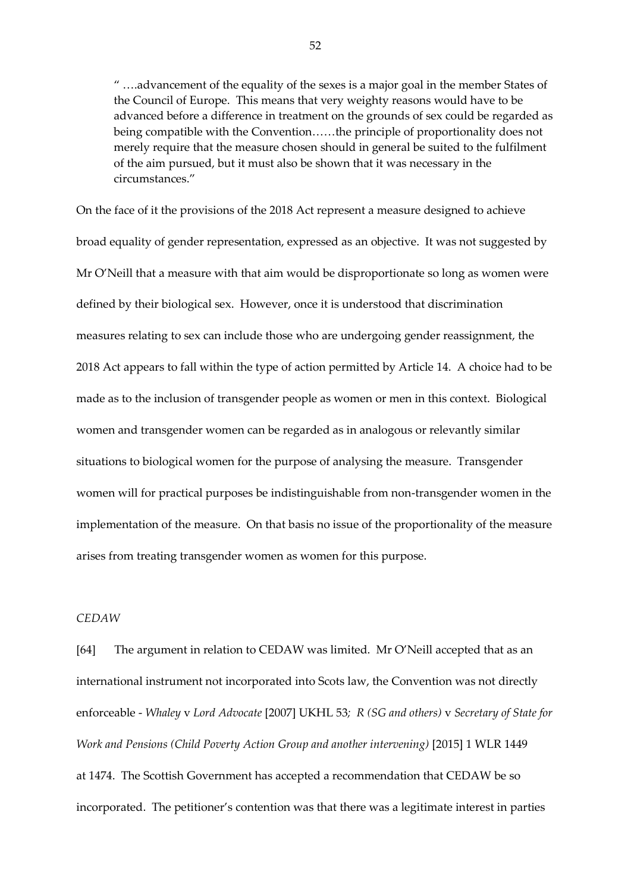" ….advancement of the equality of the sexes is a major goal in the member States of the Council of Europe. This means that very weighty reasons would have to be advanced before a difference in treatment on the grounds of sex could be regarded as being compatible with the Convention……the principle of proportionality does not merely require that the measure chosen should in general be suited to the fulfilment of the aim pursued, but it must also be shown that it was necessary in the circumstances."

On the face of it the provisions of the 2018 Act represent a measure designed to achieve broad equality of gender representation, expressed as an objective. It was not suggested by Mr O'Neill that a measure with that aim would be disproportionate so long as women were defined by their biological sex. However, once it is understood that discrimination measures relating to sex can include those who are undergoing gender reassignment, the 2018 Act appears to fall within the type of action permitted by Article 14. A choice had to be made as to the inclusion of transgender people as women or men in this context. Biological women and transgender women can be regarded as in analogous or relevantly similar situations to biological women for the purpose of analysing the measure. Transgender women will for practical purposes be indistinguishable from non-transgender women in the implementation of the measure. On that basis no issue of the proportionality of the measure arises from treating transgender women as women for this purpose.

## *CEDAW*

[64] The argument in relation to CEDAW was limited. Mr O'Neill accepted that as an international instrument not incorporated into Scots law, the Convention was not directly enforceable - *Whaley* v *Lord Advocate* [2007] UKHL 53*; R (SG and others)* v *Secretary of State for Work and Pensions (Child Poverty Action Group and another intervening)* [2015] 1 WLR 1449 at 1474. The Scottish Government has accepted a recommendation that CEDAW be so incorporated. The petitioner's contention was that there was a legitimate interest in parties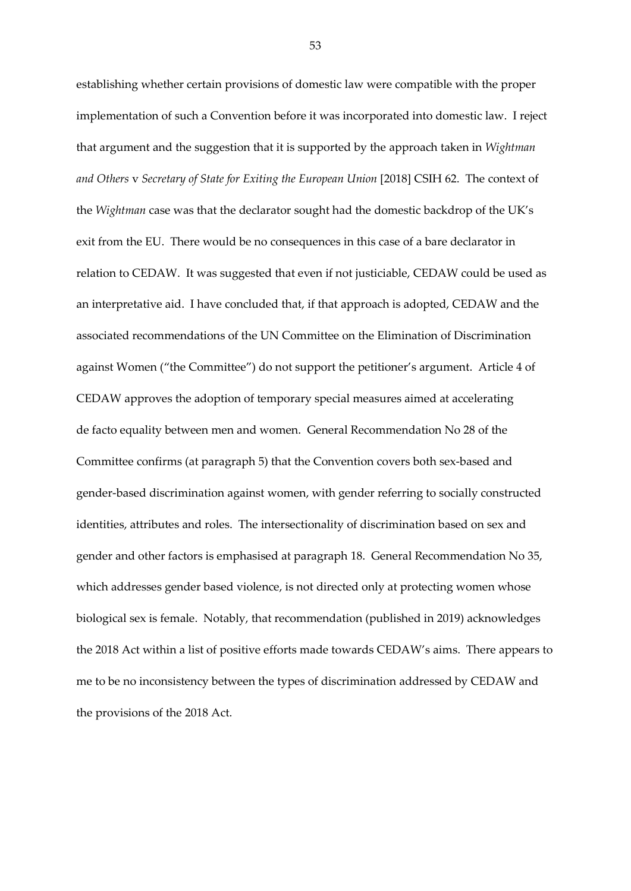establishing whether certain provisions of domestic law were compatible with the proper implementation of such a Convention before it was incorporated into domestic law. I reject that argument and the suggestion that it is supported by the approach taken in *Wightman and Others* v *Secretary of State for Exiting the European Union* [2018] CSIH 62. The context of the *Wightman* case was that the declarator sought had the domestic backdrop of the UK's exit from the EU. There would be no consequences in this case of a bare declarator in relation to CEDAW. It was suggested that even if not justiciable, CEDAW could be used as an interpretative aid. I have concluded that, if that approach is adopted, CEDAW and the associated recommendations of the UN Committee on the Elimination of Discrimination against Women ("the Committee") do not support the petitioner's argument. Article 4 of CEDAW approves the adoption of temporary special measures aimed at accelerating de facto equality between men and women. General Recommendation No 28 of the Committee confirms (at paragraph 5) that the Convention covers both sex-based and gender-based discrimination against women, with gender referring to socially constructed identities, attributes and roles. The intersectionality of discrimination based on sex and gender and other factors is emphasised at paragraph 18. General Recommendation No 35, which addresses gender based violence, is not directed only at protecting women whose biological sex is female. Notably, that recommendation (published in 2019) acknowledges the 2018 Act within a list of positive efforts made towards CEDAW's aims. There appears to me to be no inconsistency between the types of discrimination addressed by CEDAW and the provisions of the 2018 Act.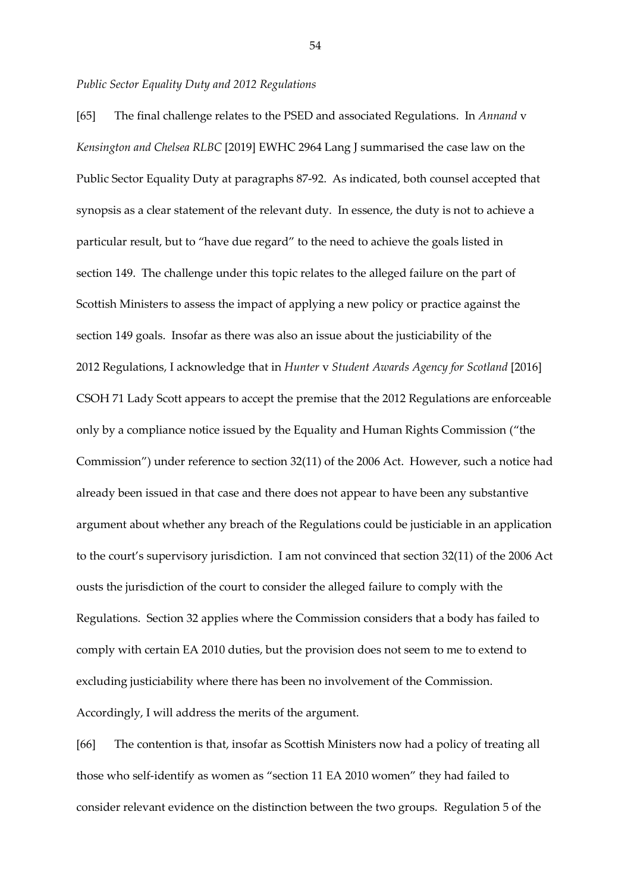#### *Public Sector Equality Duty and 2012 Regulations*

[65] The final challenge relates to the PSED and associated Regulations. In *Annand* v *Kensington and Chelsea RLBC* [2019] EWHC 2964 Lang J summarised the case law on the Public Sector Equality Duty at paragraphs 87-92. As indicated, both counsel accepted that synopsis as a clear statement of the relevant duty. In essence, the duty is not to achieve a particular result, but to "have due regard" to the need to achieve the goals listed in section 149. The challenge under this topic relates to the alleged failure on the part of Scottish Ministers to assess the impact of applying a new policy or practice against the section 149 goals. Insofar as there was also an issue about the justiciability of the 2012 Regulations, I acknowledge that in *Hunter* v *Student Awards Agency for Scotland* [2016] CSOH 71 Lady Scott appears to accept the premise that the 2012 Regulations are enforceable only by a compliance notice issued by the Equality and Human Rights Commission ("the Commission") under reference to section 32(11) of the 2006 Act. However, such a notice had already been issued in that case and there does not appear to have been any substantive argument about whether any breach of the Regulations could be justiciable in an application to the court's supervisory jurisdiction. I am not convinced that section 32(11) of the 2006 Act ousts the jurisdiction of the court to consider the alleged failure to comply with the Regulations. Section 32 applies where the Commission considers that a body has failed to comply with certain EA 2010 duties, but the provision does not seem to me to extend to excluding justiciability where there has been no involvement of the Commission. Accordingly, I will address the merits of the argument.

[66] The contention is that, insofar as Scottish Ministers now had a policy of treating all those who self-identify as women as "section 11 EA 2010 women" they had failed to consider relevant evidence on the distinction between the two groups. Regulation 5 of the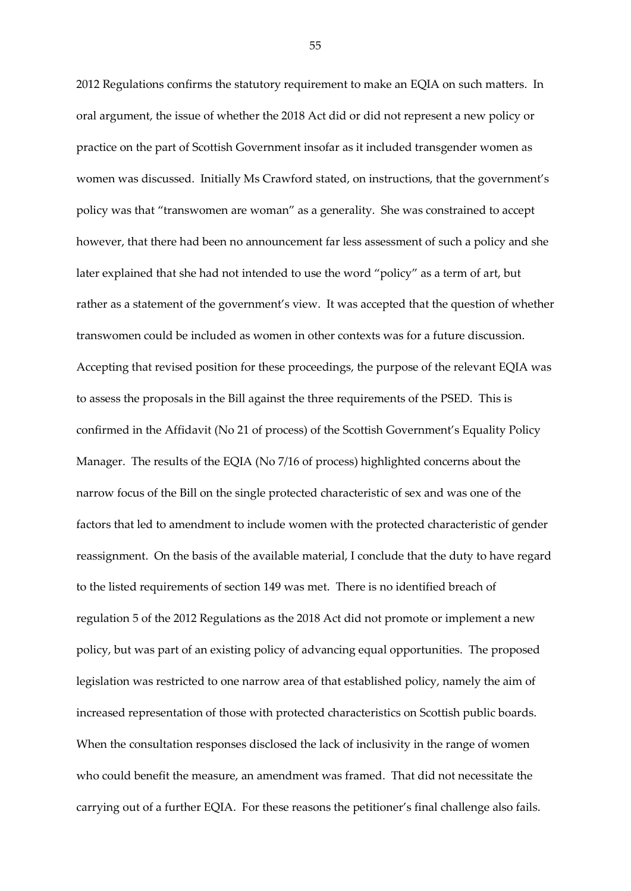2012 Regulations confirms the statutory requirement to make an EQIA on such matters. In oral argument, the issue of whether the 2018 Act did or did not represent a new policy or practice on the part of Scottish Government insofar as it included transgender women as women was discussed. Initially Ms Crawford stated, on instructions, that the government's policy was that "transwomen are woman" as a generality. She was constrained to accept however, that there had been no announcement far less assessment of such a policy and she later explained that she had not intended to use the word "policy" as a term of art, but rather as a statement of the government's view. It was accepted that the question of whether transwomen could be included as women in other contexts was for a future discussion. Accepting that revised position for these proceedings, the purpose of the relevant EQIA was to assess the proposals in the Bill against the three requirements of the PSED. This is confirmed in the Affidavit (No 21 of process) of the Scottish Government's Equality Policy Manager. The results of the EQIA (No 7/16 of process) highlighted concerns about the narrow focus of the Bill on the single protected characteristic of sex and was one of the factors that led to amendment to include women with the protected characteristic of gender reassignment. On the basis of the available material, I conclude that the duty to have regard to the listed requirements of section 149 was met. There is no identified breach of regulation 5 of the 2012 Regulations as the 2018 Act did not promote or implement a new policy, but was part of an existing policy of advancing equal opportunities. The proposed legislation was restricted to one narrow area of that established policy, namely the aim of increased representation of those with protected characteristics on Scottish public boards. When the consultation responses disclosed the lack of inclusivity in the range of women who could benefit the measure, an amendment was framed. That did not necessitate the carrying out of a further EQIA. For these reasons the petitioner's final challenge also fails.